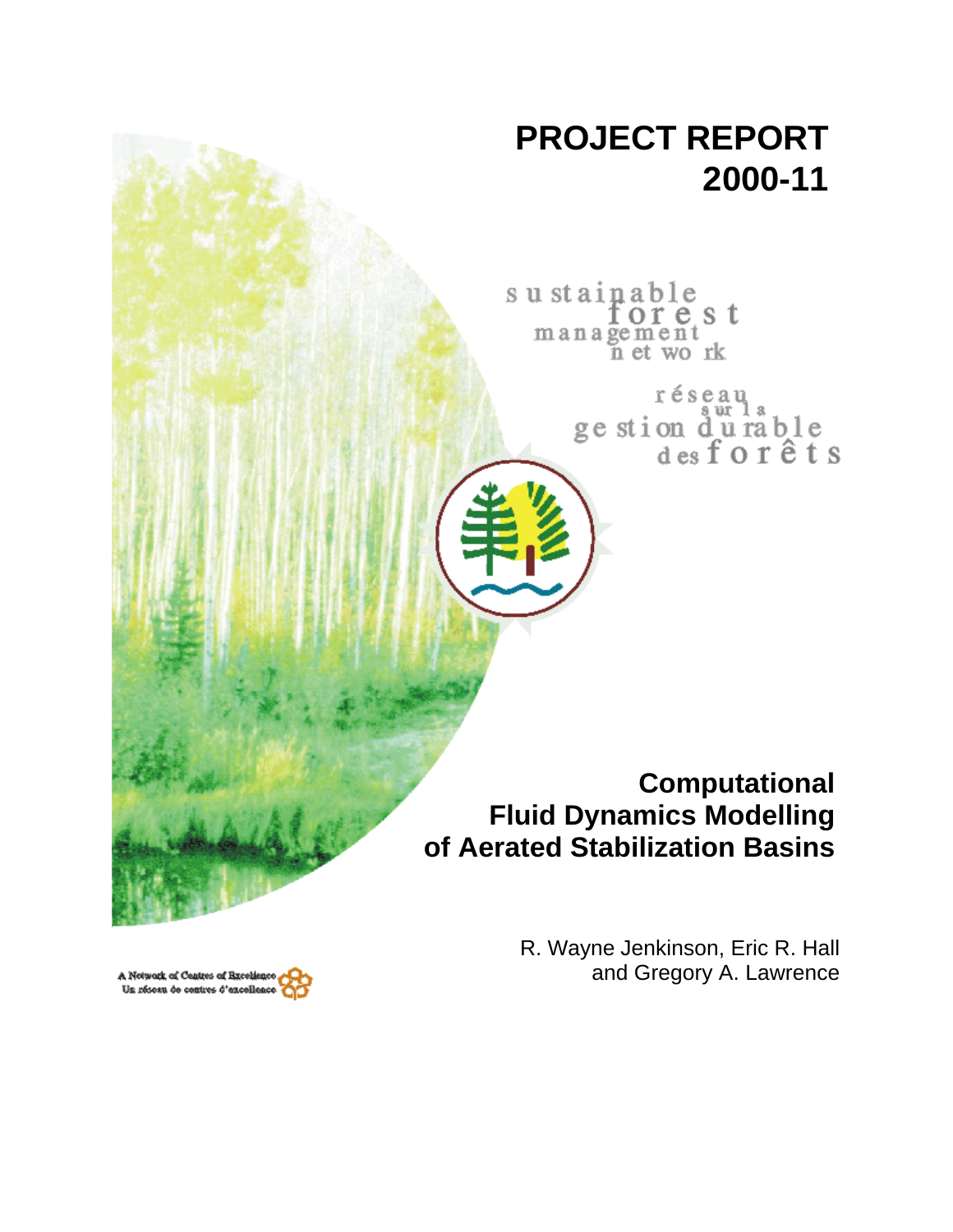# **PROJECT REPORT 2000-11**

sustainable orest management n et work

> réseau ge stion durable<br>desforêts

**Computational Fluid Dynamics Modelling of Aerated Stabilization Basins**

> R. Wayne Jenkinson, Eric R. Hall and Gregory A. Lawrence

A Network of Centres of Bxceliene Un résesu de centres d'excelles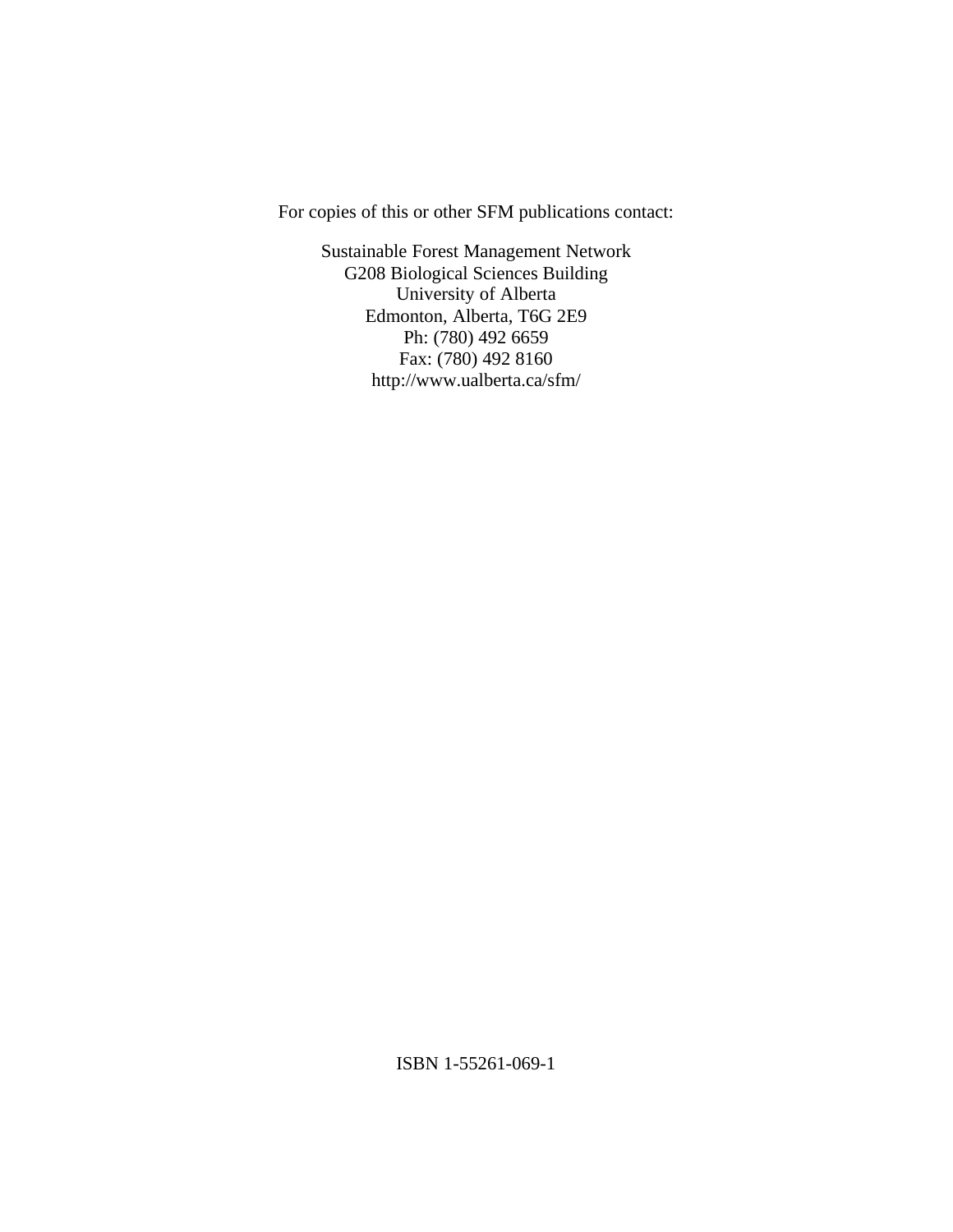For copies of this or other SFM publications contact:

Sustainable Forest Management Network G208 Biological Sciences Building University of Alberta Edmonton, Alberta, T6G 2E9 Ph: (780) 492 6659 Fax: (780) 492 8160 http://www.ualberta.ca/sfm/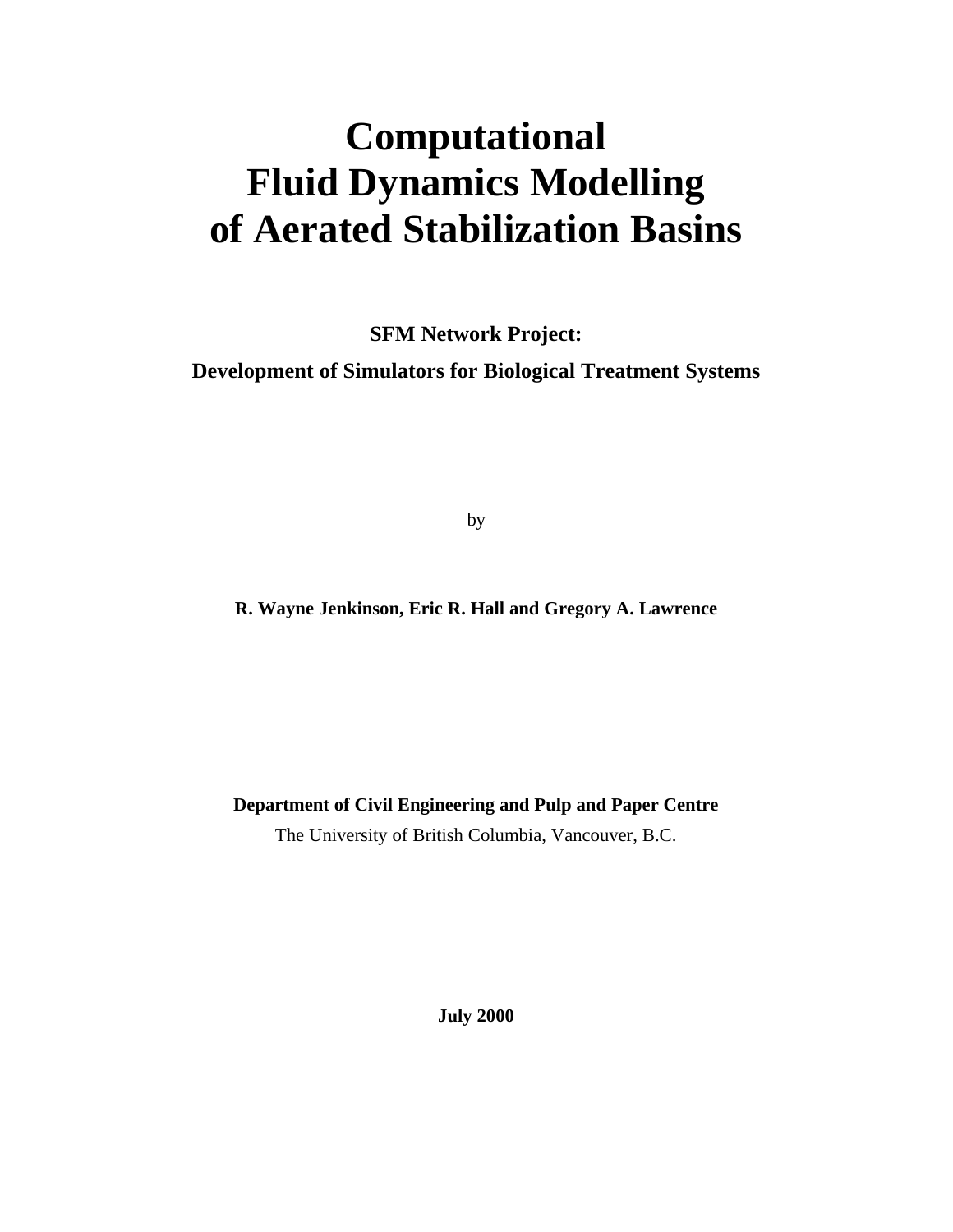# **Computational Fluid Dynamics Modelling of Aerated Stabilization Basins**

**SFM Network Project:**

**Development of Simulators for Biological Treatment Systems**

by

**R. Wayne Jenkinson, Eric R. Hall and Gregory A. Lawrence**

**Department of Civil Engineering and Pulp and Paper Centre**

The University of British Columbia, Vancouver, B.C.

**July 2000**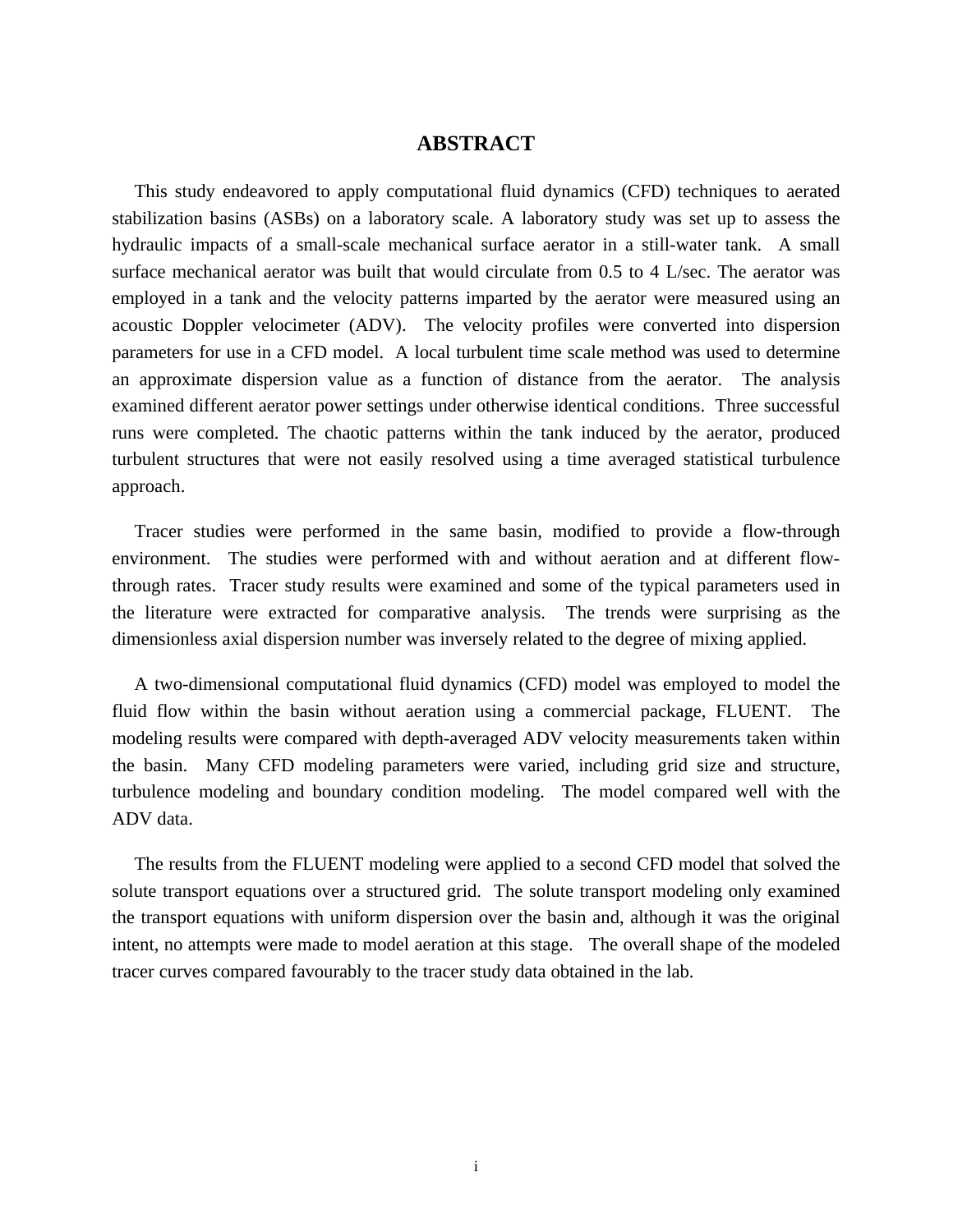# **ABSTRACT**

This study endeavored to apply computational fluid dynamics (CFD) techniques to aerated stabilization basins (ASBs) on a laboratory scale. A laboratory study was set up to assess the hydraulic impacts of a small-scale mechanical surface aerator in a still-water tank. A small surface mechanical aerator was built that would circulate from 0.5 to 4 L/sec. The aerator was employed in a tank and the velocity patterns imparted by the aerator were measured using an acoustic Doppler velocimeter (ADV). The velocity profiles were converted into dispersion parameters for use in a CFD model. A local turbulent time scale method was used to determine an approximate dispersion value as a function of distance from the aerator. The analysis examined different aerator power settings under otherwise identical conditions. Three successful runs were completed. The chaotic patterns within the tank induced by the aerator, produced turbulent structures that were not easily resolved using a time averaged statistical turbulence approach.

Tracer studies were performed in the same basin, modified to provide a flow-through environment. The studies were performed with and without aeration and at different flowthrough rates. Tracer study results were examined and some of the typical parameters used in the literature were extracted for comparative analysis. The trends were surprising as the dimensionless axial dispersion number was inversely related to the degree of mixing applied.

A two-dimensional computational fluid dynamics (CFD) model was employed to model the fluid flow within the basin without aeration using a commercial package, FLUENT. The modeling results were compared with depth-averaged ADV velocity measurements taken within the basin. Many CFD modeling parameters were varied, including grid size and structure, turbulence modeling and boundary condition modeling. The model compared well with the ADV data.

The results from the FLUENT modeling were applied to a second CFD model that solved the solute transport equations over a structured grid. The solute transport modeling only examined the transport equations with uniform dispersion over the basin and, although it was the original intent, no attempts were made to model aeration at this stage. The overall shape of the modeled tracer curves compared favourably to the tracer study data obtained in the lab.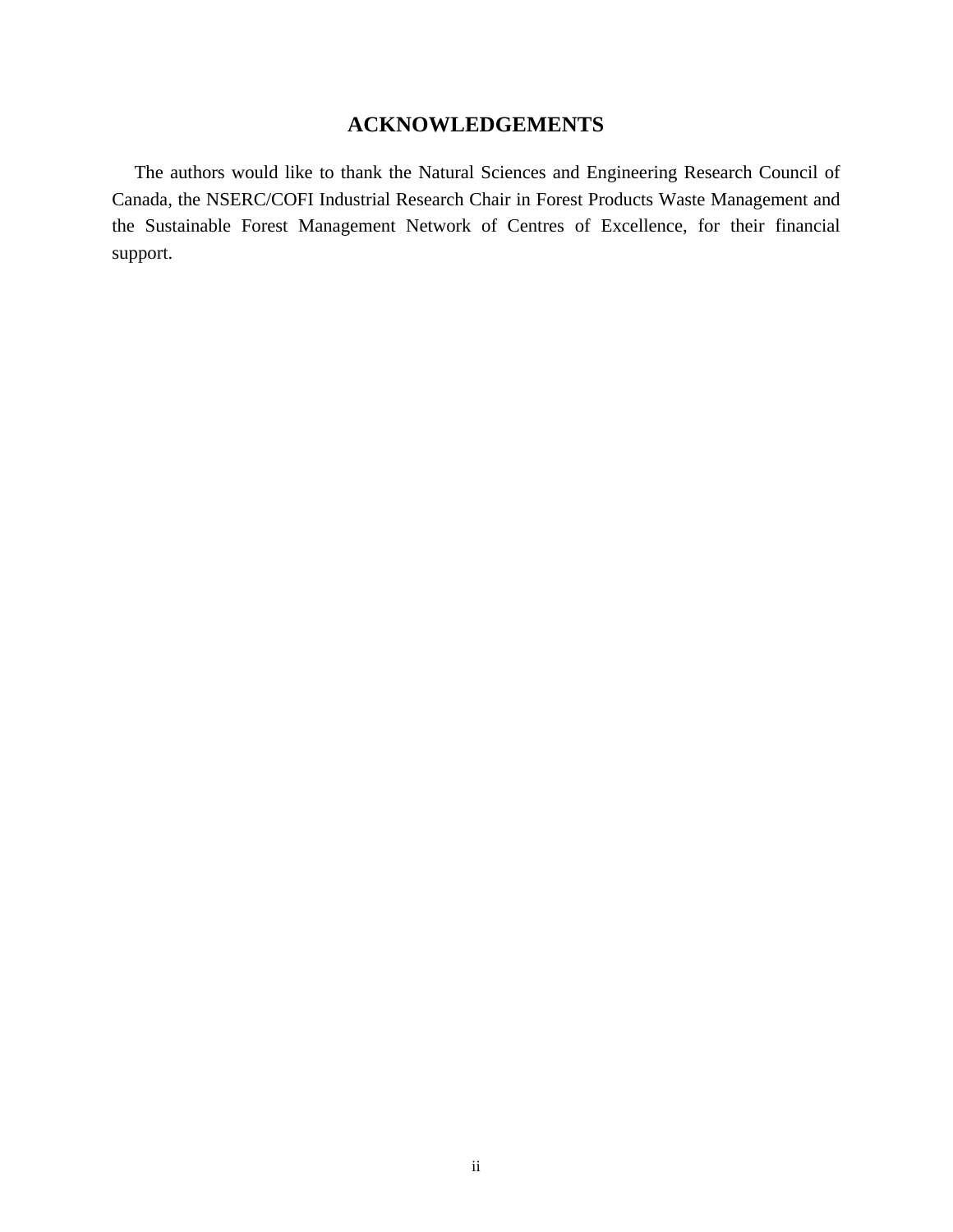# **ACKNOWLEDGEMENTS**

The authors would like to thank the Natural Sciences and Engineering Research Council of Canada, the NSERC/COFI Industrial Research Chair in Forest Products Waste Management and the Sustainable Forest Management Network of Centres of Excellence, for their financial support.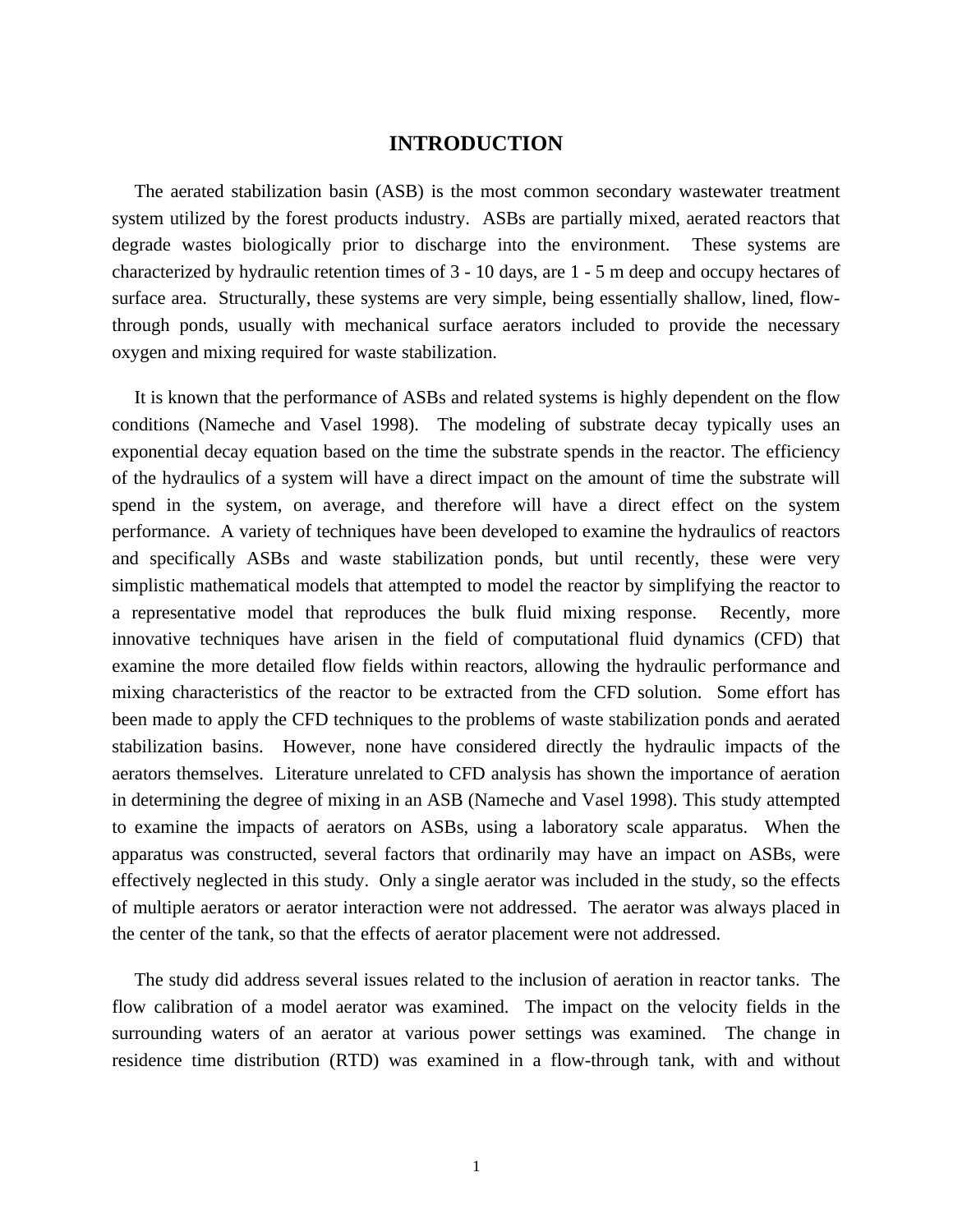## **INTRODUCTION**

The aerated stabilization basin (ASB) is the most common secondary wastewater treatment system utilized by the forest products industry. ASBs are partially mixed, aerated reactors that degrade wastes biologically prior to discharge into the environment. These systems are characterized by hydraulic retention times of 3 - 10 days, are 1 - 5 m deep and occupy hectares of surface area. Structurally, these systems are very simple, being essentially shallow, lined, flowthrough ponds, usually with mechanical surface aerators included to provide the necessary oxygen and mixing required for waste stabilization.

It is known that the performance of ASBs and related systems is highly dependent on the flow conditions (Nameche and Vasel 1998). The modeling of substrate decay typically uses an exponential decay equation based on the time the substrate spends in the reactor. The efficiency of the hydraulics of a system will have a direct impact on the amount of time the substrate will spend in the system, on average, and therefore will have a direct effect on the system performance. A variety of techniques have been developed to examine the hydraulics of reactors and specifically ASBs and waste stabilization ponds, but until recently, these were very simplistic mathematical models that attempted to model the reactor by simplifying the reactor to a representative model that reproduces the bulk fluid mixing response. Recently, more innovative techniques have arisen in the field of computational fluid dynamics (CFD) that examine the more detailed flow fields within reactors, allowing the hydraulic performance and mixing characteristics of the reactor to be extracted from the CFD solution. Some effort has been made to apply the CFD techniques to the problems of waste stabilization ponds and aerated stabilization basins. However, none have considered directly the hydraulic impacts of the aerators themselves. Literature unrelated to CFD analysis has shown the importance of aeration in determining the degree of mixing in an ASB (Nameche and Vasel 1998). This study attempted to examine the impacts of aerators on ASBs, using a laboratory scale apparatus. When the apparatus was constructed, several factors that ordinarily may have an impact on ASBs, were effectively neglected in this study. Only a single aerator was included in the study, so the effects of multiple aerators or aerator interaction were not addressed. The aerator was always placed in the center of the tank, so that the effects of aerator placement were not addressed.

The study did address several issues related to the inclusion of aeration in reactor tanks. The flow calibration of a model aerator was examined. The impact on the velocity fields in the surrounding waters of an aerator at various power settings was examined. The change in residence time distribution (RTD) was examined in a flow-through tank, with and without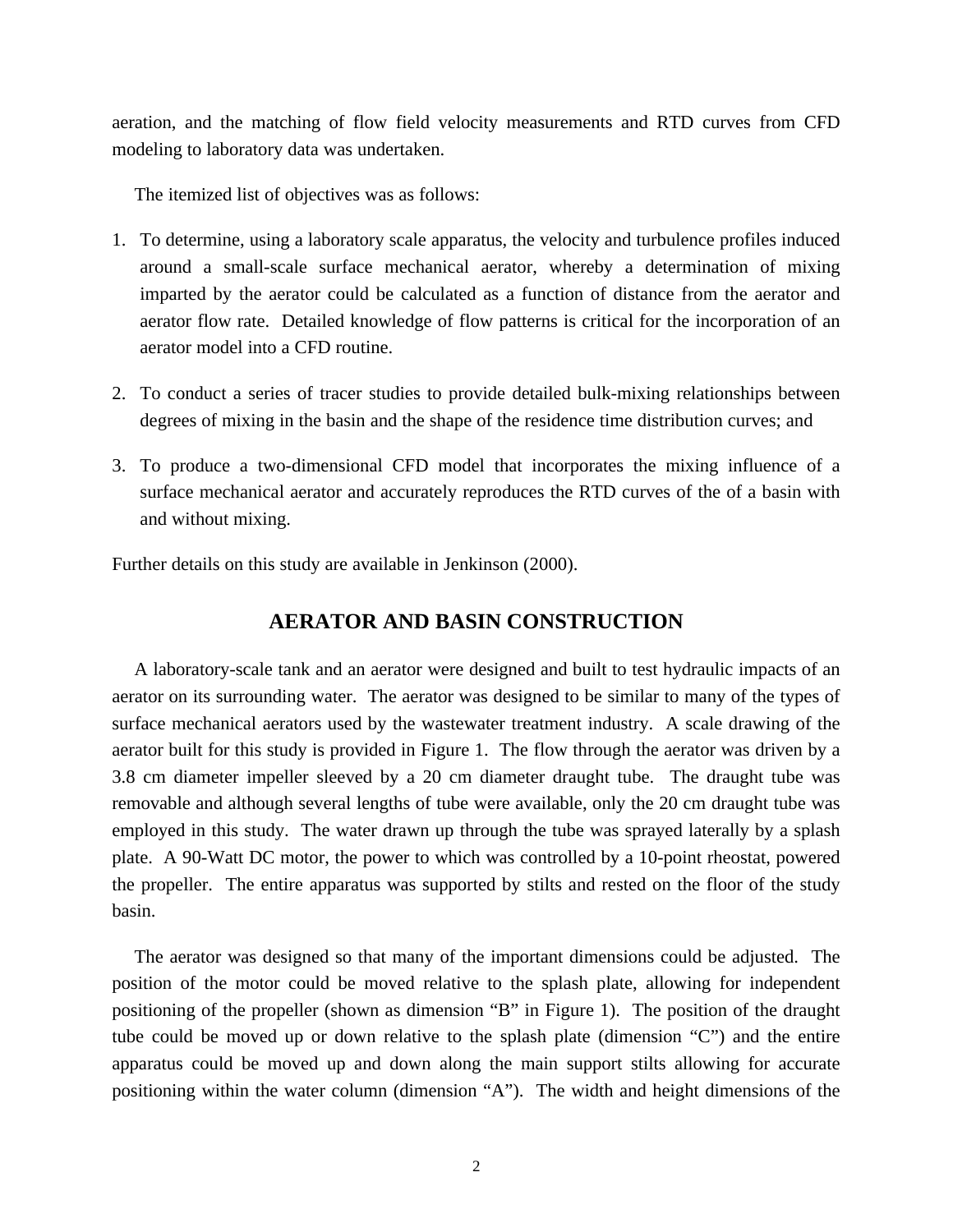aeration, and the matching of flow field velocity measurements and RTD curves from CFD modeling to laboratory data was undertaken.

The itemized list of objectives was as follows:

- 1. To determine, using a laboratory scale apparatus, the velocity and turbulence profiles induced around a small-scale surface mechanical aerator, whereby a determination of mixing imparted by the aerator could be calculated as a function of distance from the aerator and aerator flow rate. Detailed knowledge of flow patterns is critical for the incorporation of an aerator model into a CFD routine.
- 2. To conduct a series of tracer studies to provide detailed bulk-mixing relationships between degrees of mixing in the basin and the shape of the residence time distribution curves; and
- 3. To produce a two-dimensional CFD model that incorporates the mixing influence of a surface mechanical aerator and accurately reproduces the RTD curves of the of a basin with and without mixing.

Further details on this study are available in Jenkinson (2000).

## **AERATOR AND BASIN CONSTRUCTION**

A laboratory-scale tank and an aerator were designed and built to test hydraulic impacts of an aerator on its surrounding water. The aerator was designed to be similar to many of the types of surface mechanical aerators used by the wastewater treatment industry. A scale drawing of the aerator built for this study is provided in Figure 1. The flow through the aerator was driven by a 3.8 cm diameter impeller sleeved by a 20 cm diameter draught tube. The draught tube was removable and although several lengths of tube were available, only the 20 cm draught tube was employed in this study. The water drawn up through the tube was sprayed laterally by a splash plate. A 90-Watt DC motor, the power to which was controlled by a 10-point rheostat, powered the propeller. The entire apparatus was supported by stilts and rested on the floor of the study basin.

The aerator was designed so that many of the important dimensions could be adjusted. The position of the motor could be moved relative to the splash plate, allowing for independent positioning of the propeller (shown as dimension "B" in Figure 1). The position of the draught tube could be moved up or down relative to the splash plate (dimension "C") and the entire apparatus could be moved up and down along the main support stilts allowing for accurate positioning within the water column (dimension "A"). The width and height dimensions of the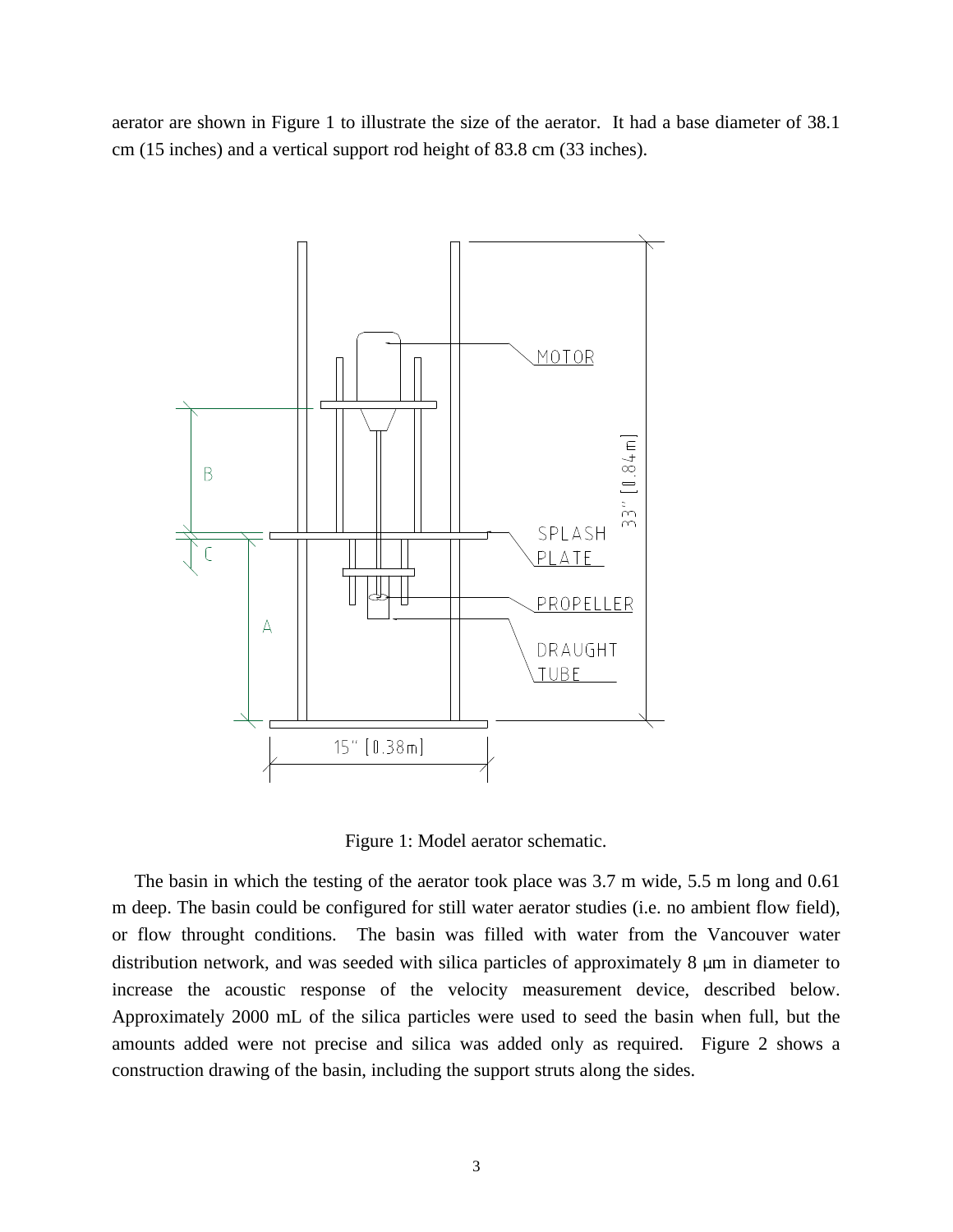aerator are shown in Figure 1 to illustrate the size of the aerator. It had a base diameter of 38.1 cm (15 inches) and a vertical support rod height of 83.8 cm (33 inches).



Figure 1: Model aerator schematic.

The basin in which the testing of the aerator took place was 3.7 m wide, 5.5 m long and 0.61 m deep. The basin could be configured for still water aerator studies (i.e. no ambient flow field), or flow throught conditions. The basin was filled with water from the Vancouver water distribution network, and was seeded with silica particles of approximately 8 μm in diameter to increase the acoustic response of the velocity measurement device, described below. Approximately 2000 mL of the silica particles were used to seed the basin when full, but the amounts added were not precise and silica was added only as required. Figure 2 shows a construction drawing of the basin, including the support struts along the sides.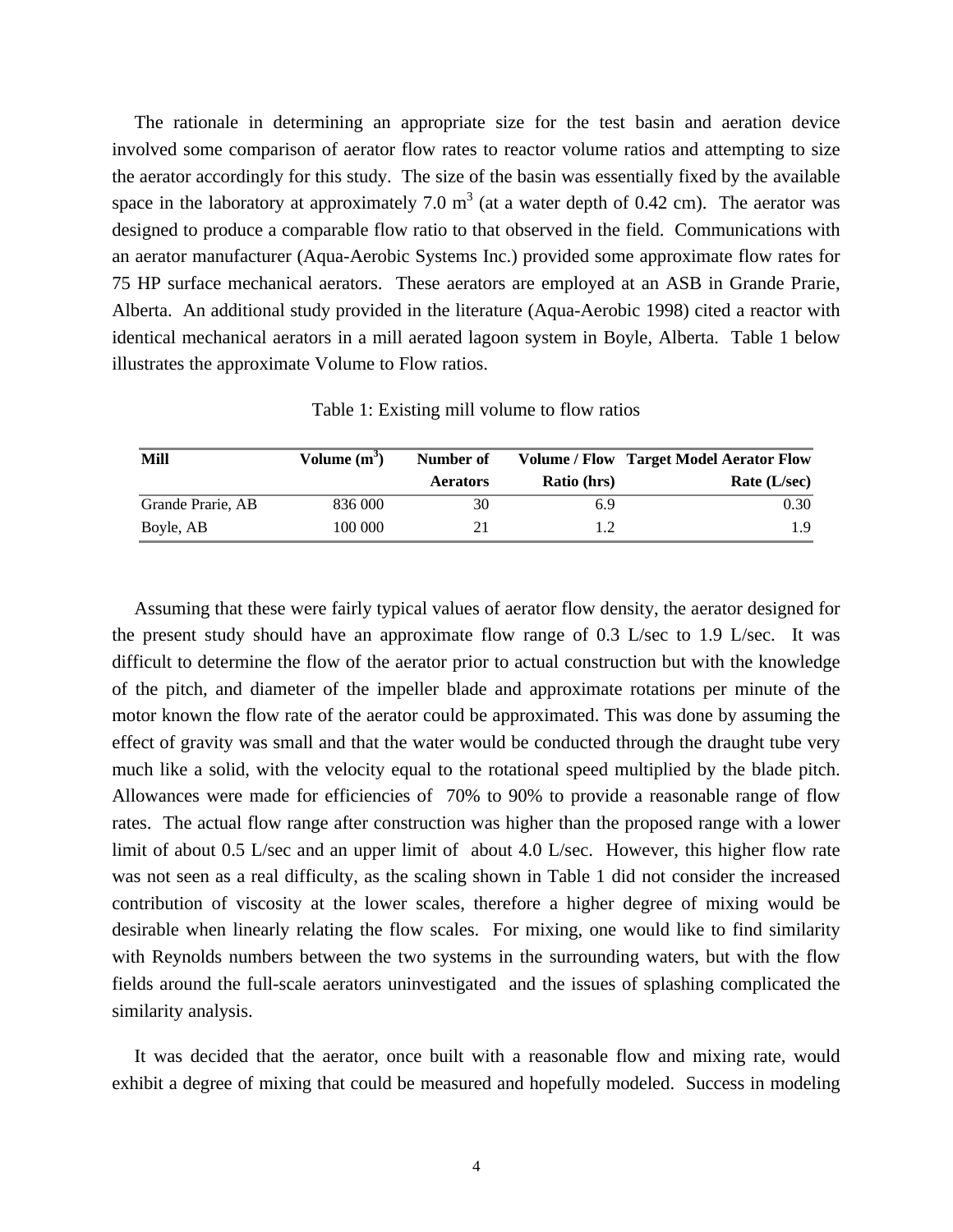The rationale in determining an appropriate size for the test basin and aeration device involved some comparison of aerator flow rates to reactor volume ratios and attempting to size the aerator accordingly for this study. The size of the basin was essentially fixed by the available space in the laboratory at approximately 7.0  $m<sup>3</sup>$  (at a water depth of 0.42 cm). The aerator was designed to produce a comparable flow ratio to that observed in the field. Communications with an aerator manufacturer (Aqua-Aerobic Systems Inc.) provided some approximate flow rates for 75 HP surface mechanical aerators. These aerators are employed at an ASB in Grande Prarie, Alberta. An additional study provided in the literature (Aqua-Aerobic 1998) cited a reactor with identical mechanical aerators in a mill aerated lagoon system in Boyle, Alberta. Table 1 below illustrates the approximate Volume to Flow ratios.

Table 1: Existing mill volume to flow ratios

| Mill              | Volume $(m^3)$ | Number of       |             | <b>Volume / Flow Target Model Aerator Flow</b> |
|-------------------|----------------|-----------------|-------------|------------------------------------------------|
|                   |                | <b>Aerators</b> | Ratio (hrs) | Rate (L/sec)                                   |
| Grande Prarie, AB | 836 000        | 30              | 6.9         | 0.30                                           |
| Boyle, AB         | 100 000        | 21              | 1.2         | 1.9                                            |

Assuming that these were fairly typical values of aerator flow density, the aerator designed for the present study should have an approximate flow range of 0.3 L/sec to 1.9 L/sec. It was difficult to determine the flow of the aerator prior to actual construction but with the knowledge of the pitch, and diameter of the impeller blade and approximate rotations per minute of the motor known the flow rate of the aerator could be approximated. This was done by assuming the effect of gravity was small and that the water would be conducted through the draught tube very much like a solid, with the velocity equal to the rotational speed multiplied by the blade pitch. Allowances were made for efficiencies of 70% to 90% to provide a reasonable range of flow rates. The actual flow range after construction was higher than the proposed range with a lower limit of about 0.5 L/sec and an upper limit of about 4.0 L/sec. However, this higher flow rate was not seen as a real difficulty, as the scaling shown in Table 1 did not consider the increased contribution of viscosity at the lower scales, therefore a higher degree of mixing would be desirable when linearly relating the flow scales. For mixing, one would like to find similarity with Reynolds numbers between the two systems in the surrounding waters, but with the flow fields around the full-scale aerators uninvestigated and the issues of splashing complicated the similarity analysis.

It was decided that the aerator, once built with a reasonable flow and mixing rate, would exhibit a degree of mixing that could be measured and hopefully modeled. Success in modeling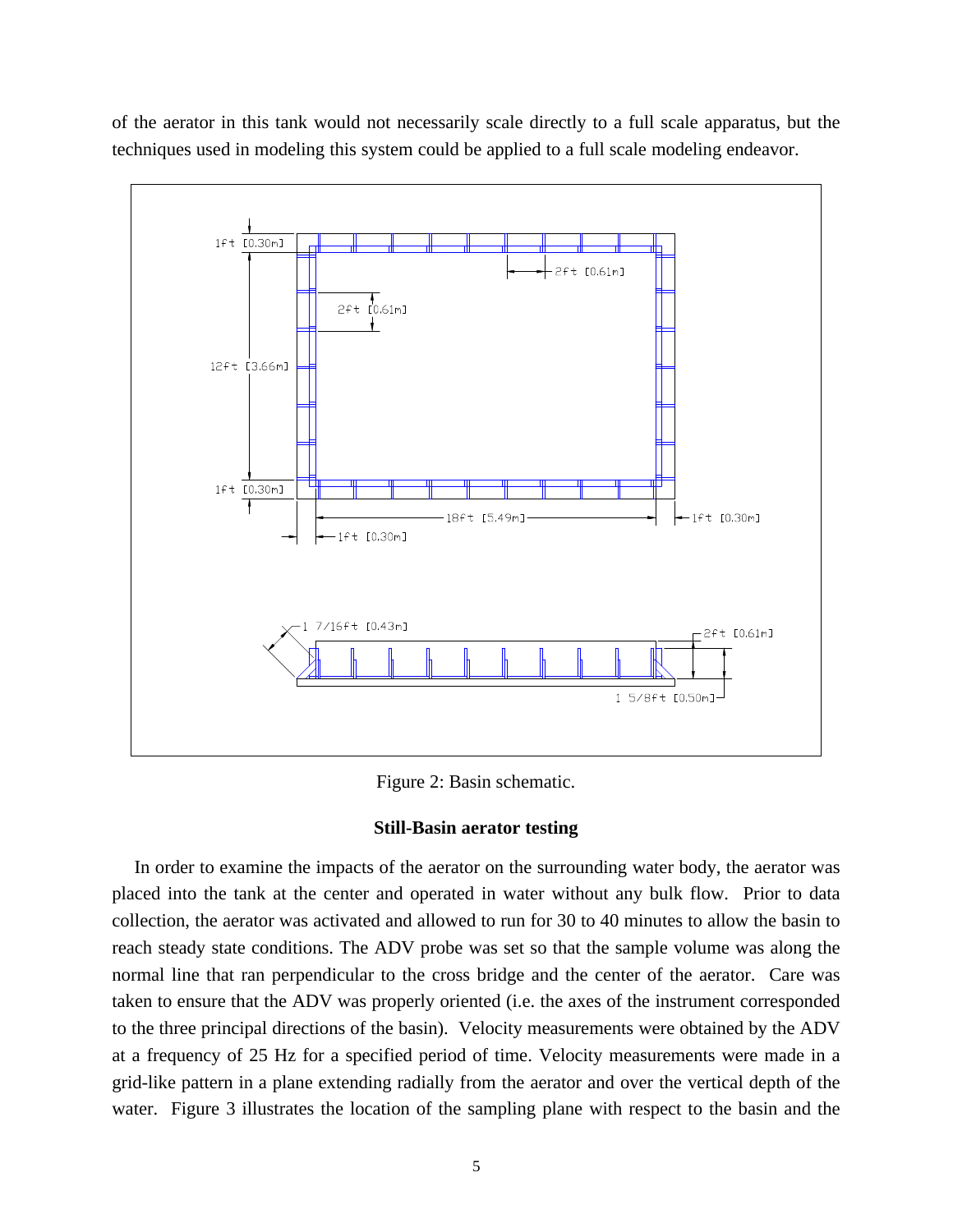of the aerator in this tank would not necessarily scale directly to a full scale apparatus, but the techniques used in modeling this system could be applied to a full scale modeling endeavor.



Figure 2: Basin schematic.

## **Still-Basin aerator testing**

In order to examine the impacts of the aerator on the surrounding water body, the aerator was placed into the tank at the center and operated in water without any bulk flow. Prior to data collection, the aerator was activated and allowed to run for 30 to 40 minutes to allow the basin to reach steady state conditions. The ADV probe was set so that the sample volume was along the normal line that ran perpendicular to the cross bridge and the center of the aerator. Care was taken to ensure that the ADV was properly oriented (i.e. the axes of the instrument corresponded to the three principal directions of the basin). Velocity measurements were obtained by the ADV at a frequency of 25 Hz for a specified period of time. Velocity measurements were made in a grid-like pattern in a plane extending radially from the aerator and over the vertical depth of the water. Figure 3 illustrates the location of the sampling plane with respect to the basin and the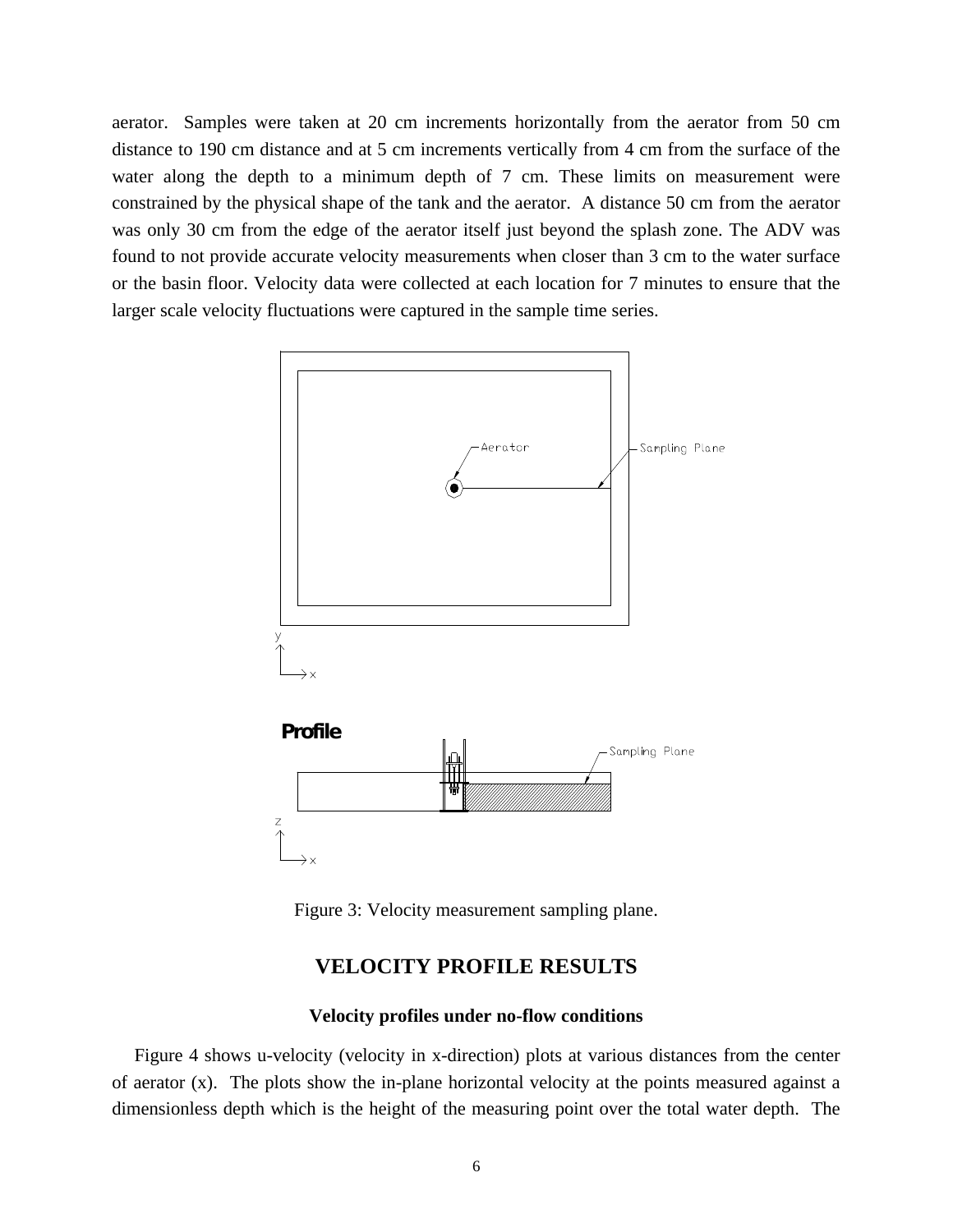aerator. Samples were taken at 20 cm increments horizontally from the aerator from 50 cm distance to 190 cm distance and at 5 cm increments vertically from 4 cm from the surface of the water along the depth to a minimum depth of 7 cm. These limits on measurement were constrained by the physical shape of the tank and the aerator. A distance 50 cm from the aerator was only 30 cm from the edge of the aerator itself just beyond the splash zone. The ADV was found to not provide accurate velocity measurements when closer than 3 cm to the water surface or the basin floor. Velocity data were collected at each location for 7 minutes to ensure that the larger scale velocity fluctuations were captured in the sample time series.



Figure 3: Velocity measurement sampling plane.

## **VELOCITY PROFILE RESULTS**

## **Velocity profiles under no-flow conditions**

Figure 4 shows u-velocity (velocity in x-direction) plots at various distances from the center of aerator (x). The plots show the in-plane horizontal velocity at the points measured against a dimensionless depth which is the height of the measuring point over the total water depth. The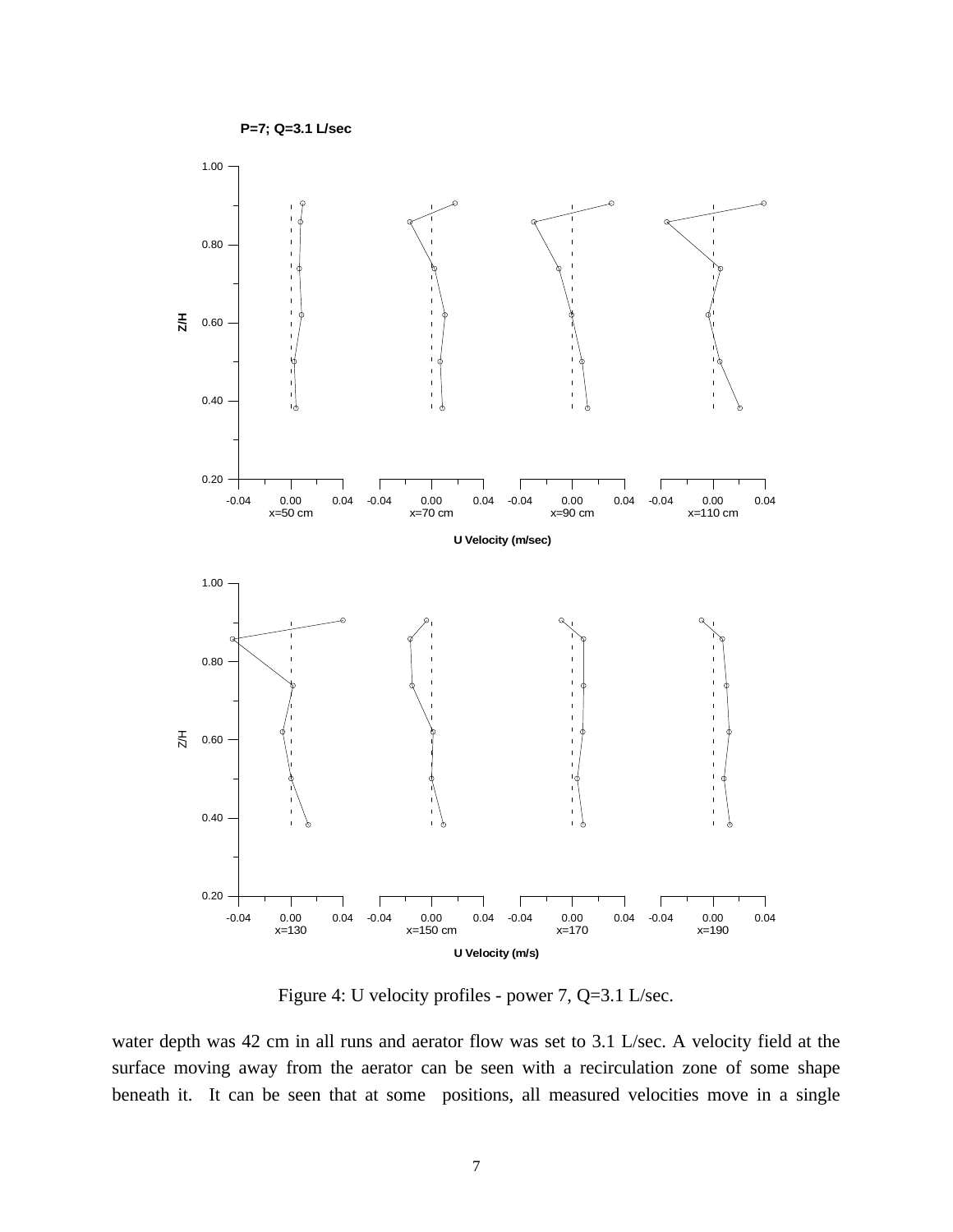



Figure 4: U velocity profiles - power 7, Q=3.1 L/sec.

water depth was 42 cm in all runs and aerator flow was set to 3.1 L/sec. A velocity field at the surface moving away from the aerator can be seen with a recirculation zone of some shape beneath it. It can be seen that at some positions, all measured velocities move in a single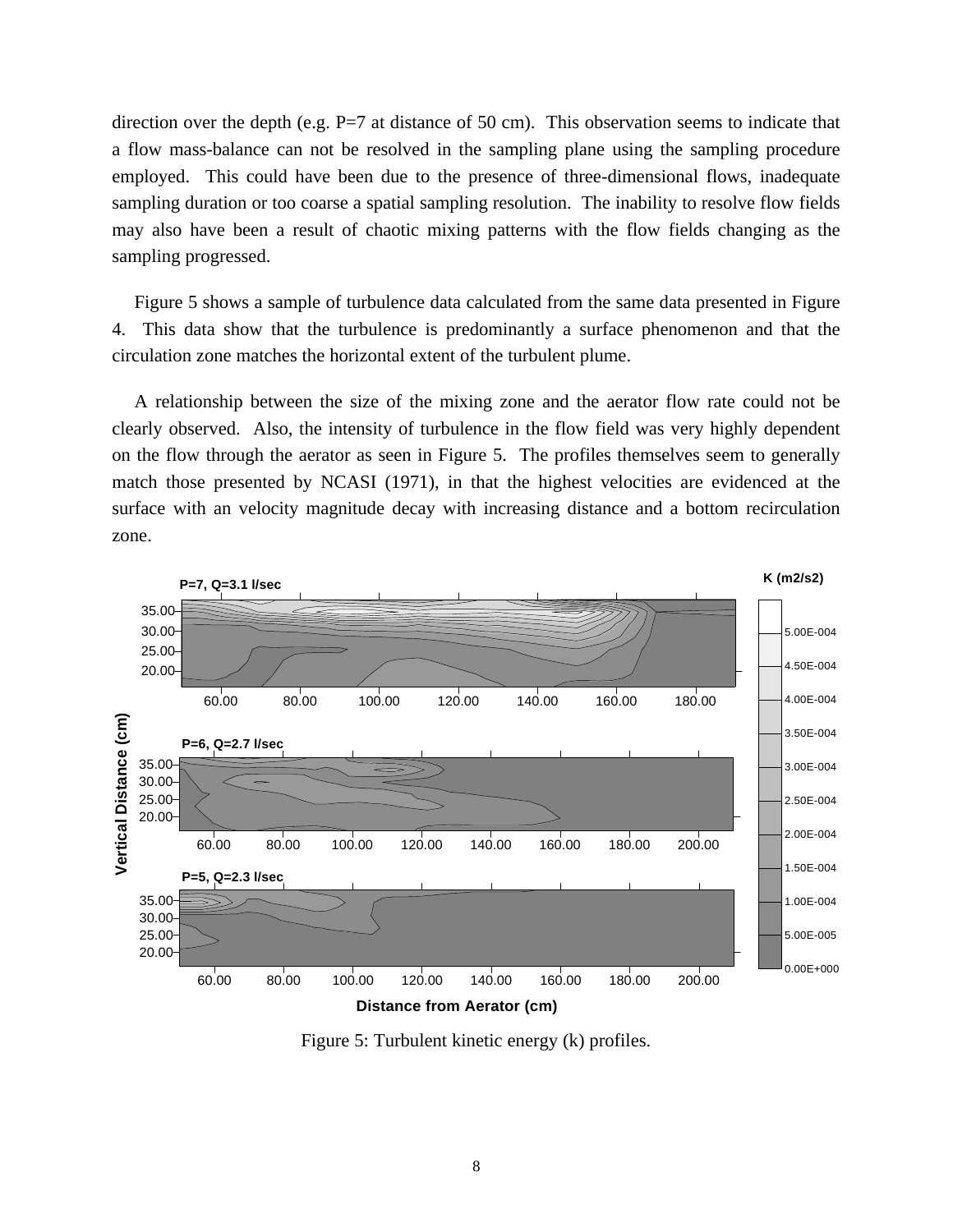direction over the depth (e.g.  $P=7$  at distance of 50 cm). This observation seems to indicate that a flow mass-balance can not be resolved in the sampling plane using the sampling procedure employed. This could have been due to the presence of three-dimensional flows, inadequate sampling duration or too coarse a spatial sampling resolution. The inability to resolve flow fields may also have been a result of chaotic mixing patterns with the flow fields changing as the sampling progressed.

Figure 5 shows a sample of turbulence data calculated from the same data presented in Figure 4. This data show that the turbulence is predominantly a surface phenomenon and that the circulation zone matches the horizontal extent of the turbulent plume.

A relationship between the size of the mixing zone and the aerator flow rate could not be clearly observed. Also, the intensity of turbulence in the flow field was very highly dependent on the flow through the aerator as seen in Figure 5. The profiles themselves seem to generally match those presented by NCASI (1971), in that the highest velocities are evidenced at the surface with an velocity magnitude decay with increasing distance and a bottom recirculation zone.



Figure 5: Turbulent kinetic energy (k) profiles.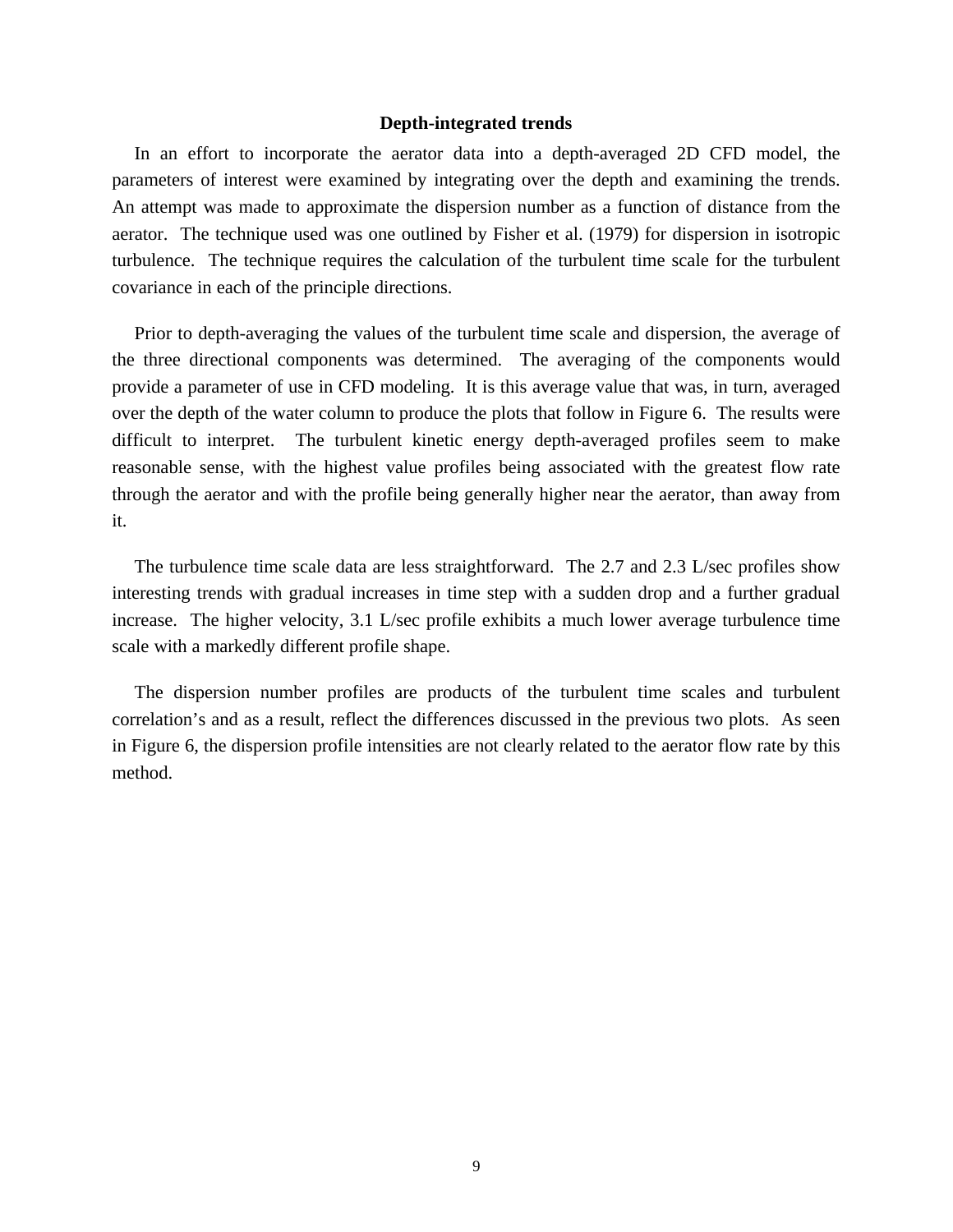#### **Depth-integrated trends**

In an effort to incorporate the aerator data into a depth-averaged 2D CFD model, the parameters of interest were examined by integrating over the depth and examining the trends. An attempt was made to approximate the dispersion number as a function of distance from the aerator. The technique used was one outlined by Fisher et al. (1979) for dispersion in isotropic turbulence. The technique requires the calculation of the turbulent time scale for the turbulent covariance in each of the principle directions.

Prior to depth-averaging the values of the turbulent time scale and dispersion, the average of the three directional components was determined. The averaging of the components would provide a parameter of use in CFD modeling. It is this average value that was, in turn, averaged over the depth of the water column to produce the plots that follow in Figure 6. The results were difficult to interpret. The turbulent kinetic energy depth-averaged profiles seem to make reasonable sense, with the highest value profiles being associated with the greatest flow rate through the aerator and with the profile being generally higher near the aerator, than away from it.

The turbulence time scale data are less straightforward. The 2.7 and 2.3 L/sec profiles show interesting trends with gradual increases in time step with a sudden drop and a further gradual increase. The higher velocity, 3.1 L/sec profile exhibits a much lower average turbulence time scale with a markedly different profile shape.

The dispersion number profiles are products of the turbulent time scales and turbulent correlation's and as a result, reflect the differences discussed in the previous two plots. As seen in Figure 6, the dispersion profile intensities are not clearly related to the aerator flow rate by this method.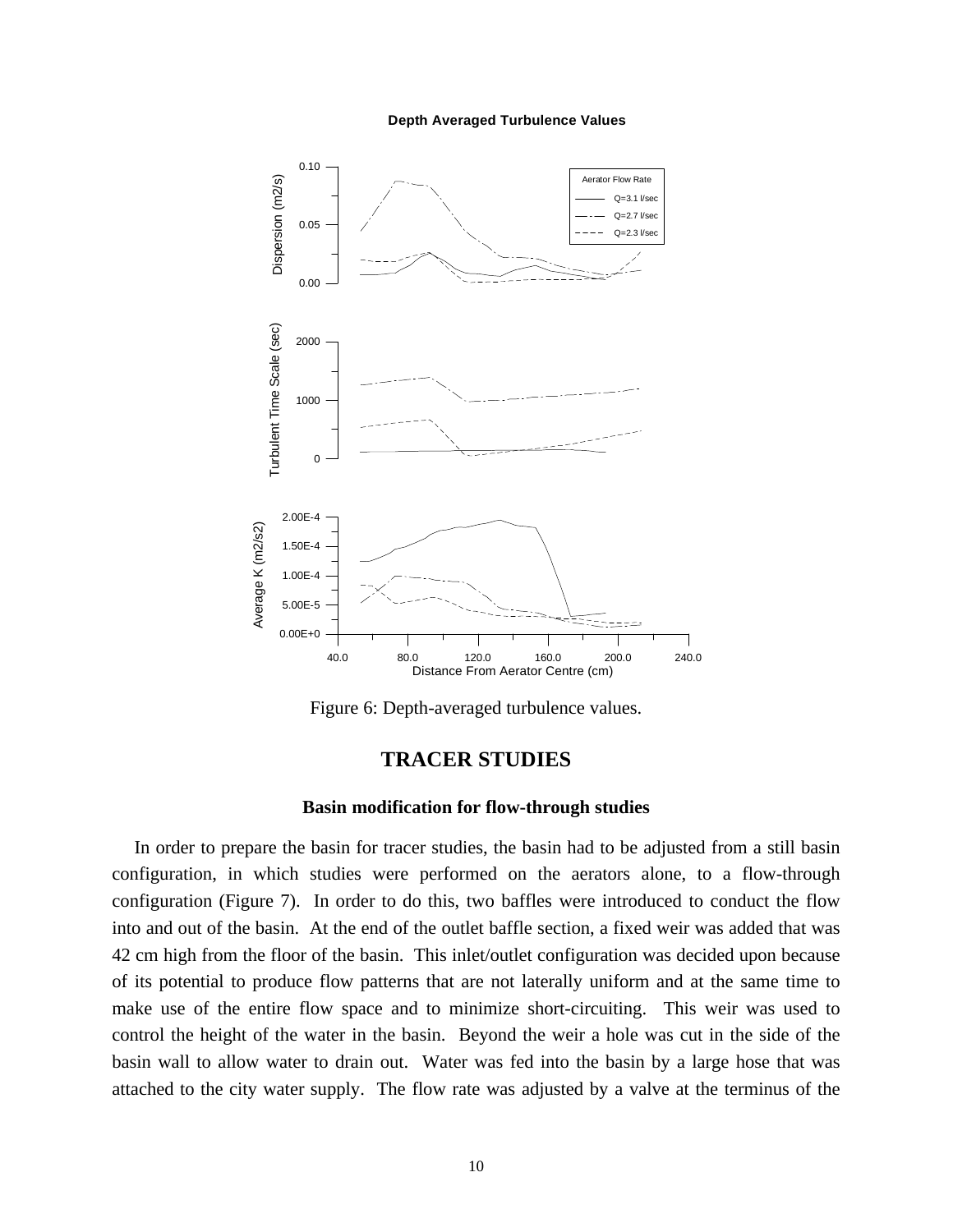#### **Depth Averaged Turbulence Values**



Figure 6: Depth-averaged turbulence values.

# **TRACER STUDIES**

### **Basin modification for flow-through studies**

In order to prepare the basin for tracer studies, the basin had to be adjusted from a still basin configuration, in which studies were performed on the aerators alone, to a flow-through configuration (Figure 7). In order to do this, two baffles were introduced to conduct the flow into and out of the basin. At the end of the outlet baffle section, a fixed weir was added that was 42 cm high from the floor of the basin. This inlet/outlet configuration was decided upon because of its potential to produce flow patterns that are not laterally uniform and at the same time to make use of the entire flow space and to minimize short-circuiting. This weir was used to control the height of the water in the basin. Beyond the weir a hole was cut in the side of the basin wall to allow water to drain out. Water was fed into the basin by a large hose that was attached to the city water supply. The flow rate was adjusted by a valve at the terminus of the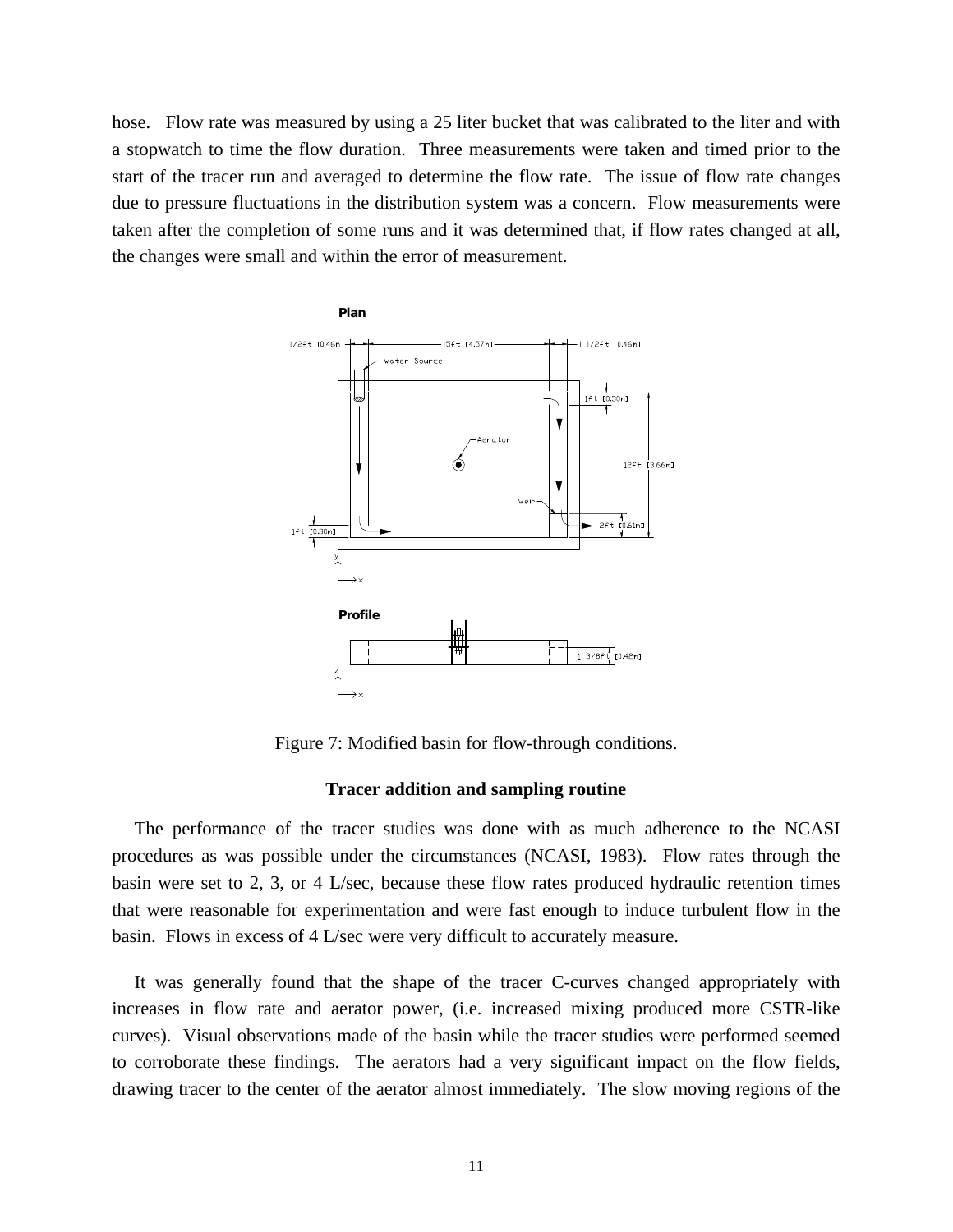hose. Flow rate was measured by using a 25 liter bucket that was calibrated to the liter and with a stopwatch to time the flow duration. Three measurements were taken and timed prior to the start of the tracer run and averaged to determine the flow rate. The issue of flow rate changes due to pressure fluctuations in the distribution system was a concern. Flow measurements were taken after the completion of some runs and it was determined that, if flow rates changed at all, the changes were small and within the error of measurement.



Figure 7: Modified basin for flow-through conditions.

### **Tracer addition and sampling routine**

The performance of the tracer studies was done with as much adherence to the NCASI procedures as was possible under the circumstances (NCASI, 1983). Flow rates through the basin were set to 2, 3, or 4 L/sec, because these flow rates produced hydraulic retention times that were reasonable for experimentation and were fast enough to induce turbulent flow in the basin. Flows in excess of 4 L/sec were very difficult to accurately measure.

It was generally found that the shape of the tracer C-curves changed appropriately with increases in flow rate and aerator power, (i.e. increased mixing produced more CSTR-like curves). Visual observations made of the basin while the tracer studies were performed seemed to corroborate these findings. The aerators had a very significant impact on the flow fields, drawing tracer to the center of the aerator almost immediately. The slow moving regions of the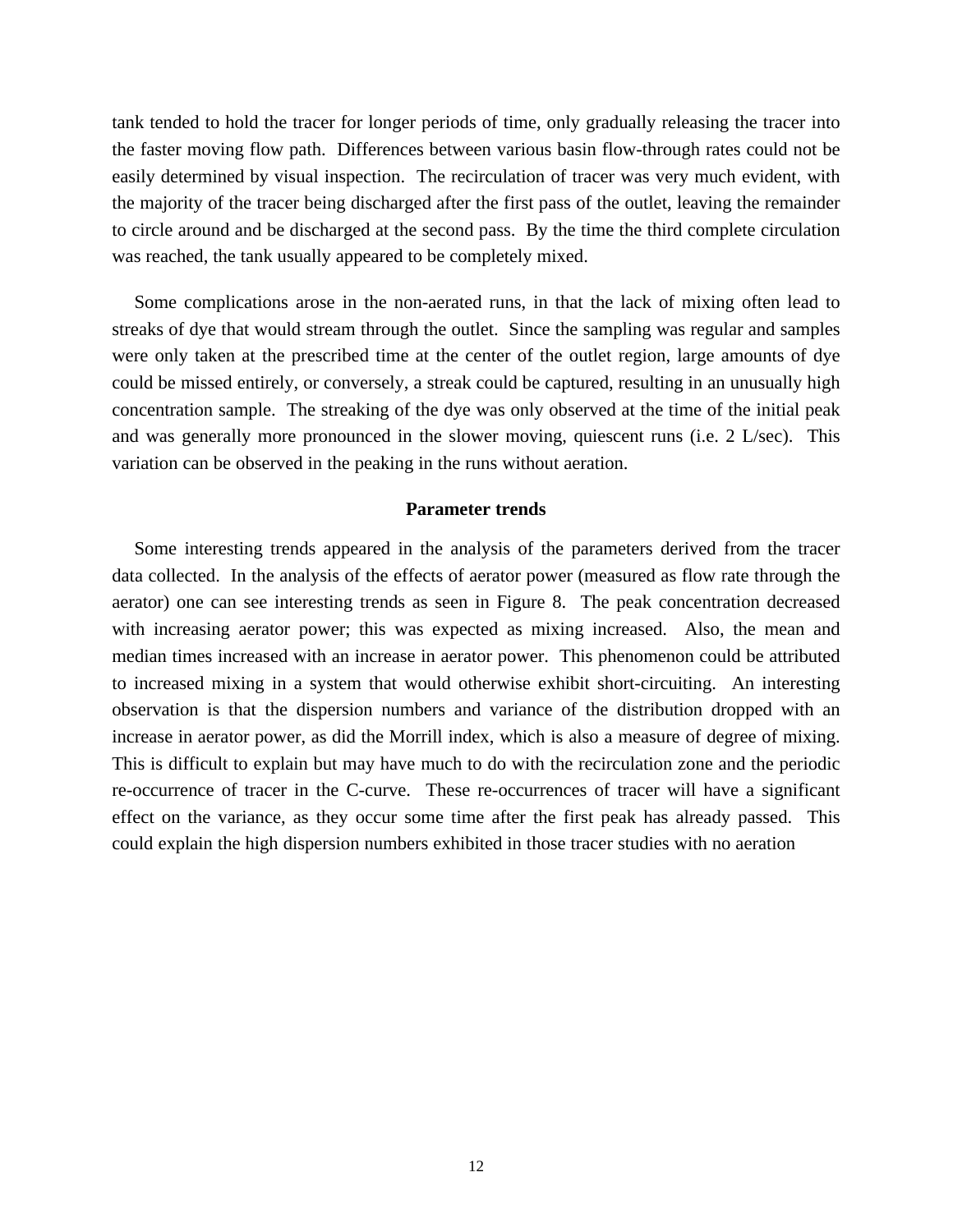tank tended to hold the tracer for longer periods of time, only gradually releasing the tracer into the faster moving flow path. Differences between various basin flow-through rates could not be easily determined by visual inspection. The recirculation of tracer was very much evident, with the majority of the tracer being discharged after the first pass of the outlet, leaving the remainder to circle around and be discharged at the second pass. By the time the third complete circulation was reached, the tank usually appeared to be completely mixed.

Some complications arose in the non-aerated runs, in that the lack of mixing often lead to streaks of dye that would stream through the outlet. Since the sampling was regular and samples were only taken at the prescribed time at the center of the outlet region, large amounts of dye could be missed entirely, or conversely, a streak could be captured, resulting in an unusually high concentration sample. The streaking of the dye was only observed at the time of the initial peak and was generally more pronounced in the slower moving, quiescent runs (i.e. 2 L/sec). This variation can be observed in the peaking in the runs without aeration.

#### **Parameter trends**

Some interesting trends appeared in the analysis of the parameters derived from the tracer data collected. In the analysis of the effects of aerator power (measured as flow rate through the aerator) one can see interesting trends as seen in Figure 8. The peak concentration decreased with increasing aerator power; this was expected as mixing increased. Also, the mean and median times increased with an increase in aerator power. This phenomenon could be attributed to increased mixing in a system that would otherwise exhibit short-circuiting. An interesting observation is that the dispersion numbers and variance of the distribution dropped with an increase in aerator power, as did the Morrill index, which is also a measure of degree of mixing. This is difficult to explain but may have much to do with the recirculation zone and the periodic re-occurrence of tracer in the C-curve. These re-occurrences of tracer will have a significant effect on the variance, as they occur some time after the first peak has already passed. This could explain the high dispersion numbers exhibited in those tracer studies with no aeration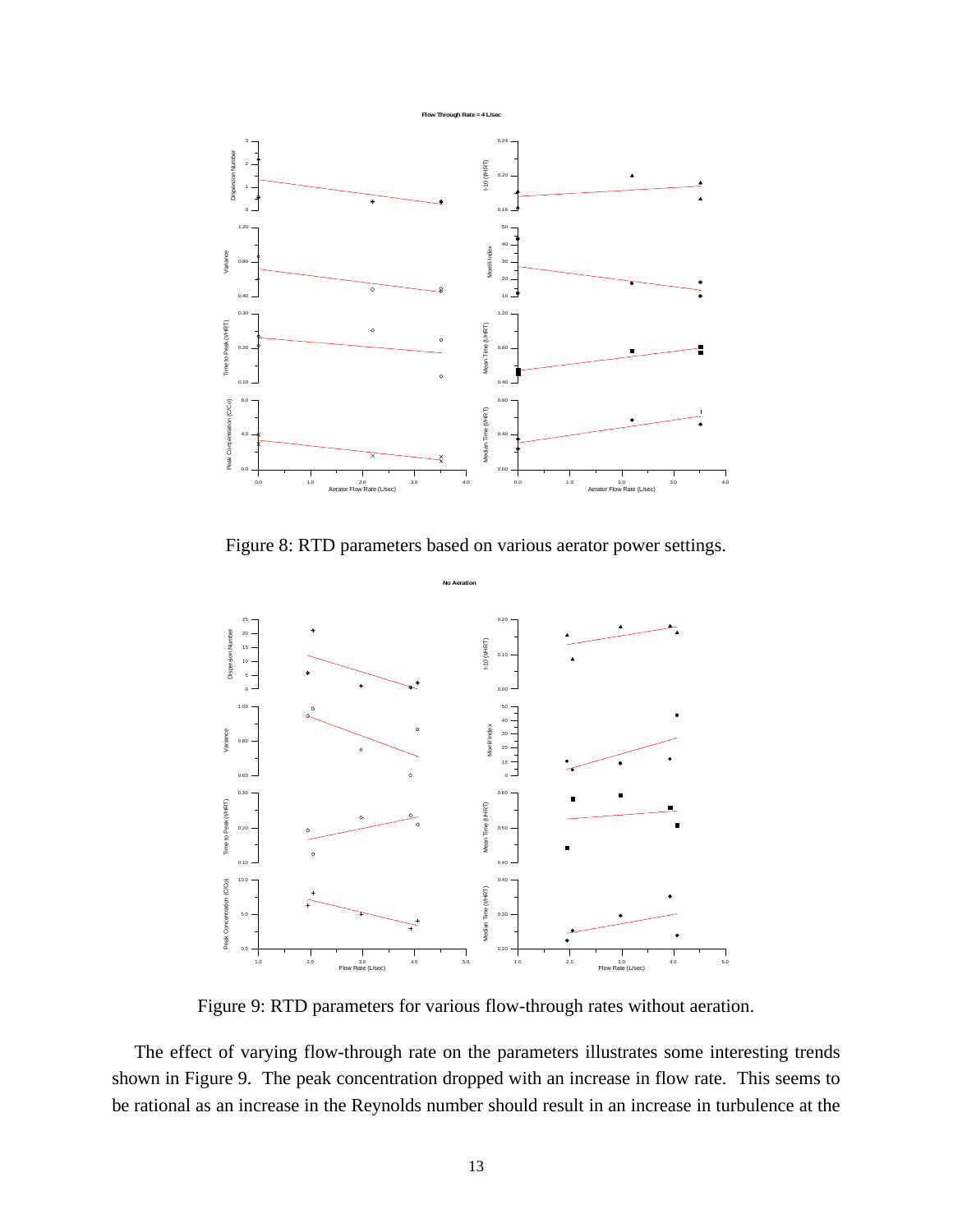

Figure 8: RTD parameters based on various aerator power settings.



Figure 9: RTD parameters for various flow-through rates without aeration.

The effect of varying flow-through rate on the parameters illustrates some interesting trends shown in Figure 9. The peak concentration dropped with an increase in flow rate. This seems to be rational as an increase in the Reynolds number should result in an increase in turbulence at the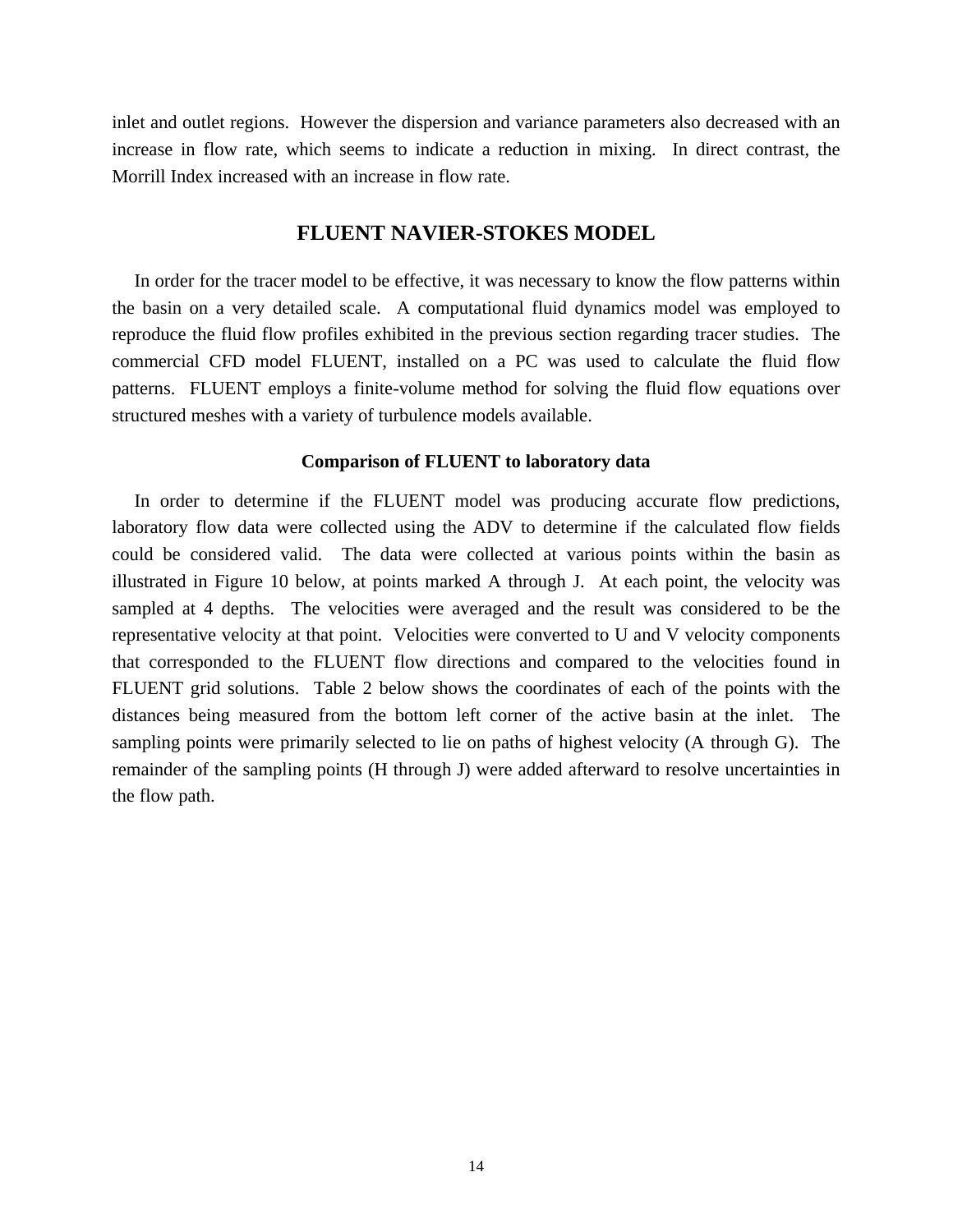inlet and outlet regions. However the dispersion and variance parameters also decreased with an increase in flow rate, which seems to indicate a reduction in mixing. In direct contrast, the Morrill Index increased with an increase in flow rate.

## **FLUENT NAVIER-STOKES MODEL**

In order for the tracer model to be effective, it was necessary to know the flow patterns within the basin on a very detailed scale. A computational fluid dynamics model was employed to reproduce the fluid flow profiles exhibited in the previous section regarding tracer studies. The commercial CFD model FLUENT, installed on a PC was used to calculate the fluid flow patterns. FLUENT employs a finite-volume method for solving the fluid flow equations over structured meshes with a variety of turbulence models available.

## **Comparison of FLUENT to laboratory data**

In order to determine if the FLUENT model was producing accurate flow predictions, laboratory flow data were collected using the ADV to determine if the calculated flow fields could be considered valid. The data were collected at various points within the basin as illustrated in Figure 10 below, at points marked A through J. At each point, the velocity was sampled at 4 depths. The velocities were averaged and the result was considered to be the representative velocity at that point. Velocities were converted to U and V velocity components that corresponded to the FLUENT flow directions and compared to the velocities found in FLUENT grid solutions. Table 2 below shows the coordinates of each of the points with the distances being measured from the bottom left corner of the active basin at the inlet. The sampling points were primarily selected to lie on paths of highest velocity (A through G). The remainder of the sampling points (H through J) were added afterward to resolve uncertainties in the flow path.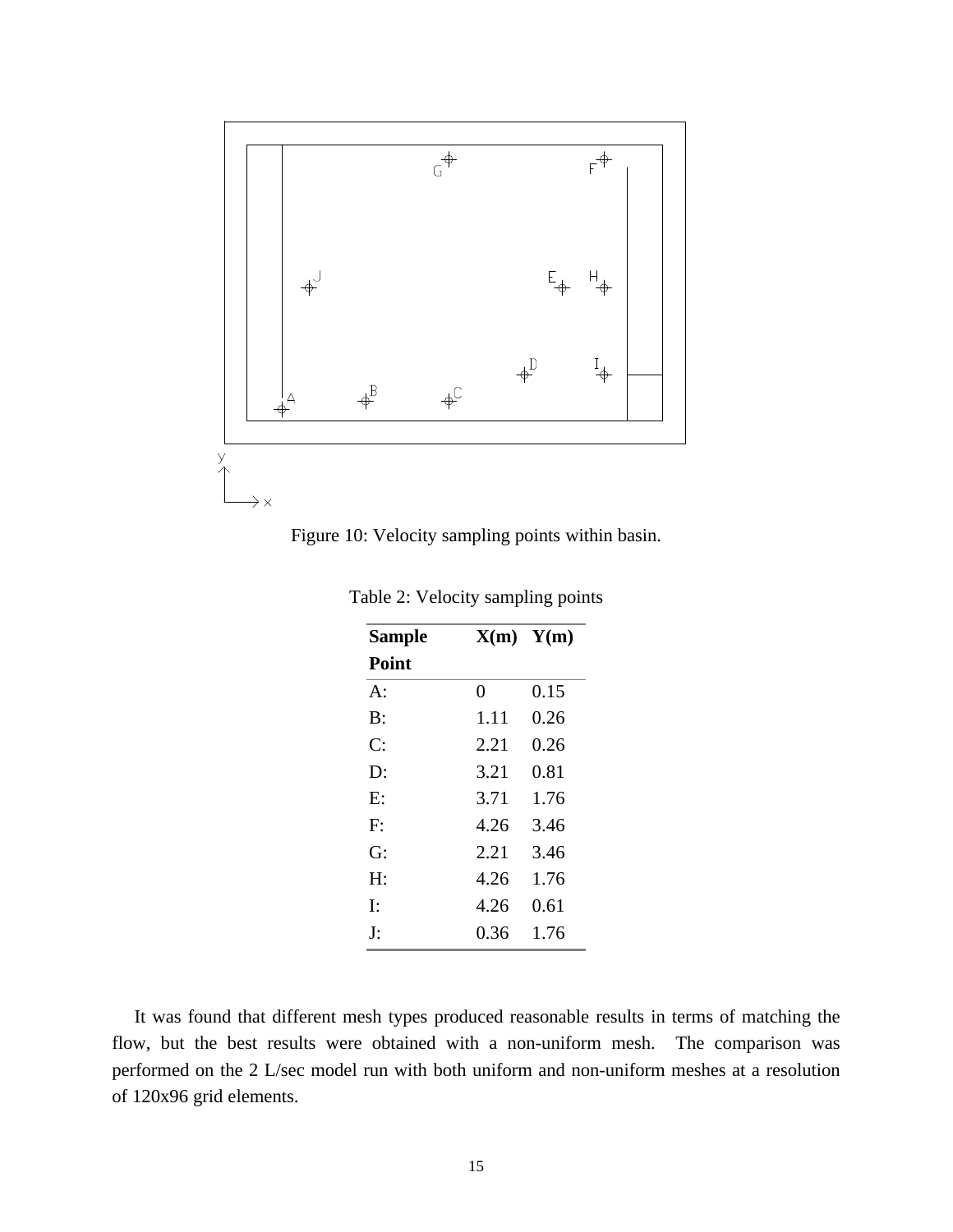



| <b>Sample</b> |      | $X(m)$ $Y(m)$ |  |
|---------------|------|---------------|--|
| Point         |      |               |  |
| $A^{\cdot}$   | 0    | 0.15          |  |
| $\rm B:$      | 1.11 | 0.26          |  |
| C:            | 2.21 | 0.26          |  |
| D:            | 3.21 | 0.81          |  |
| E:            | 3.71 | 1.76          |  |
| $F^.$         | 4.26 | 3.46          |  |
| G:            | 2.21 | 3.46          |  |
| H:            | 4.26 | 1.76          |  |
| Ŀ             | 4.26 | 0.61          |  |
| J:            | 0.36 | 1.76          |  |

Table 2: Velocity sampling points

It was found that different mesh types produced reasonable results in terms of matching the flow, but the best results were obtained with a non-uniform mesh. The comparison was performed on the 2 L/sec model run with both uniform and non-uniform meshes at a resolution of 120x96 grid elements.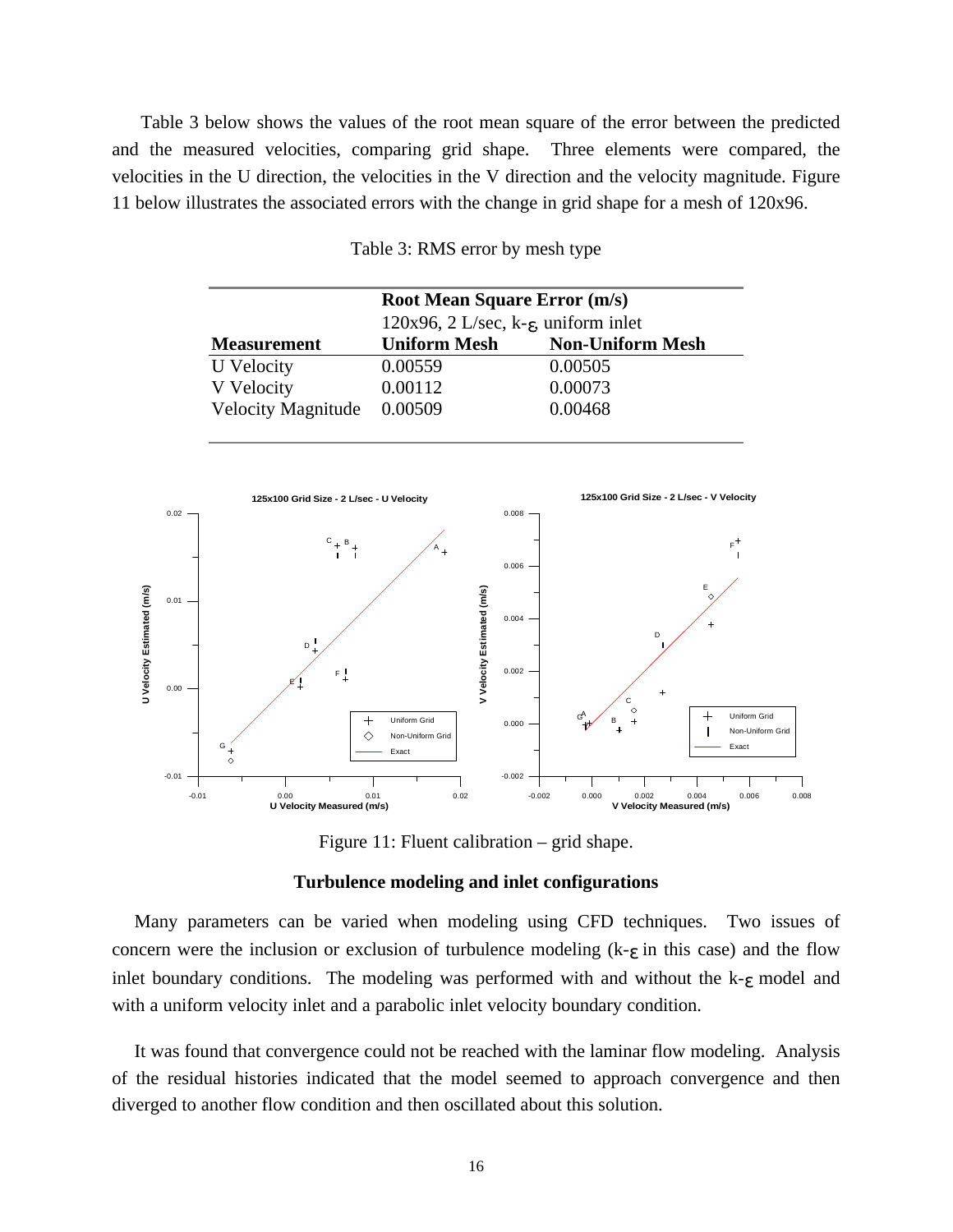Table 3 below shows the values of the root mean square of the error between the predicted and the measured velocities, comparing grid shape. Three elements were compared, the velocities in the U direction, the velocities in the V direction and the velocity magnitude. Figure 11 below illustrates the associated errors with the change in grid shape for a mesh of 120x96.

| <b>Root Mean Square Error (m/s)</b> |                                                   |                         |  |  |
|-------------------------------------|---------------------------------------------------|-------------------------|--|--|
|                                     | $120x96$ , 2 L/sec, k- $\epsilon$ , uniform inlet |                         |  |  |
| <b>Measurement</b>                  | <b>Uniform Mesh</b>                               | <b>Non-Uniform Mesh</b> |  |  |
| U Velocity                          | 0.00559                                           | 0.00505                 |  |  |
| V Velocity                          | 0.00112                                           | 0.00073                 |  |  |
| <b>Velocity Magnitude</b>           | 0.00509                                           | 0.00468                 |  |  |

Table 3: RMS error by mesh type



Figure 11: Fluent calibration – grid shape.

### **Turbulence modeling and inlet configurations**

Many parameters can be varied when modeling using CFD techniques. Two issues of concern were the inclusion or exclusion of turbulence modeling  $(k-\epsilon)$  in this case) and the flow inlet boundary conditions. The modeling was performed with and without the  $k-\epsilon$  model and with a uniform velocity inlet and a parabolic inlet velocity boundary condition.

It was found that convergence could not be reached with the laminar flow modeling. Analysis of the residual histories indicated that the model seemed to approach convergence and then diverged to another flow condition and then oscillated about this solution.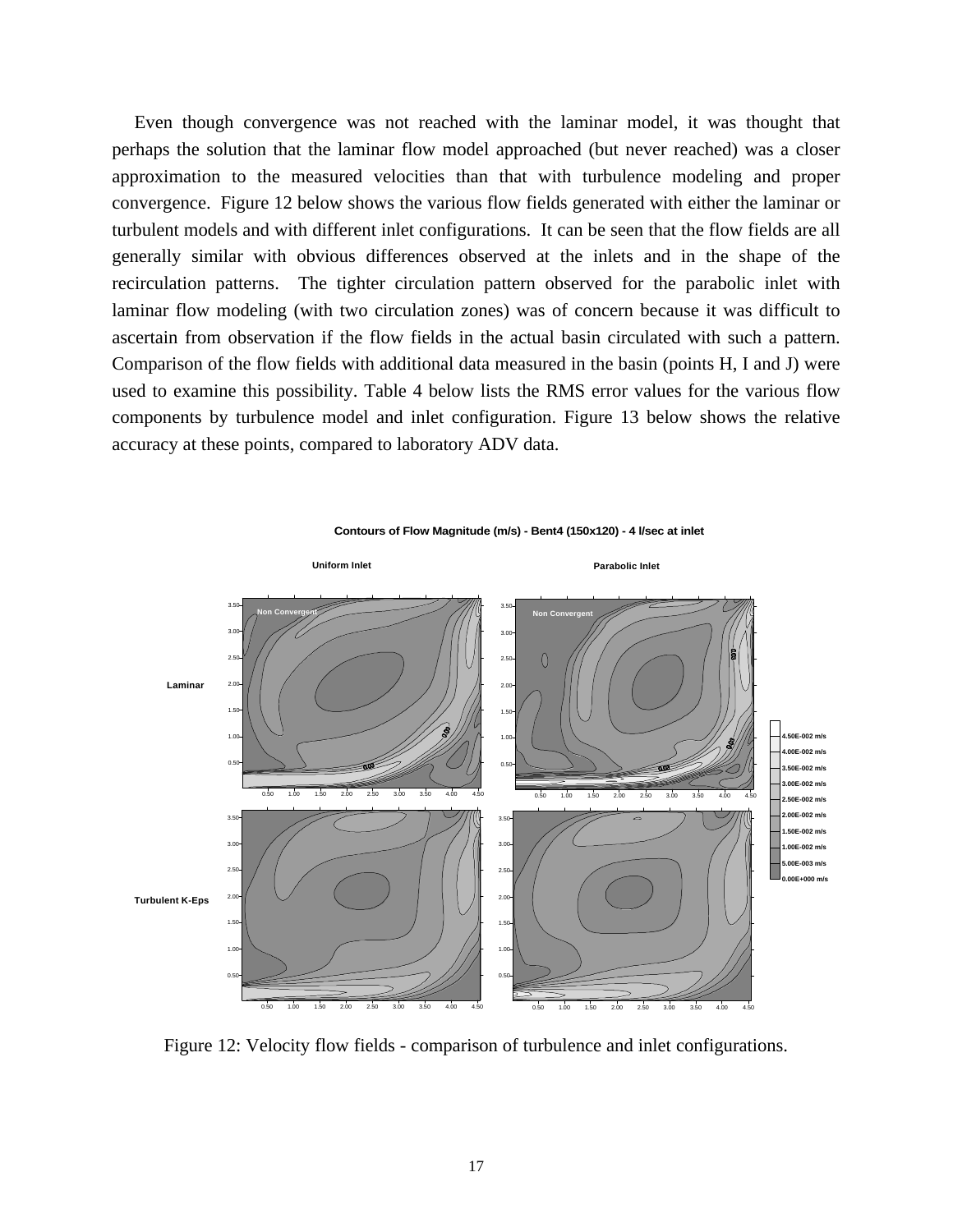Even though convergence was not reached with the laminar model, it was thought that perhaps the solution that the laminar flow model approached (but never reached) was a closer approximation to the measured velocities than that with turbulence modeling and proper convergence. Figure 12 below shows the various flow fields generated with either the laminar or turbulent models and with different inlet configurations. It can be seen that the flow fields are all generally similar with obvious differences observed at the inlets and in the shape of the recirculation patterns. The tighter circulation pattern observed for the parabolic inlet with laminar flow modeling (with two circulation zones) was of concern because it was difficult to ascertain from observation if the flow fields in the actual basin circulated with such a pattern. Comparison of the flow fields with additional data measured in the basin (points H, I and J) were used to examine this possibility. Table 4 below lists the RMS error values for the various flow components by turbulence model and inlet configuration. Figure 13 below shows the relative accuracy at these points, compared to laboratory ADV data.



**Contours of Flow Magnitude (m/s) - Bent4 (150x120) - 4 l/sec at inlet**

Figure 12: Velocity flow fields - comparison of turbulence and inlet configurations.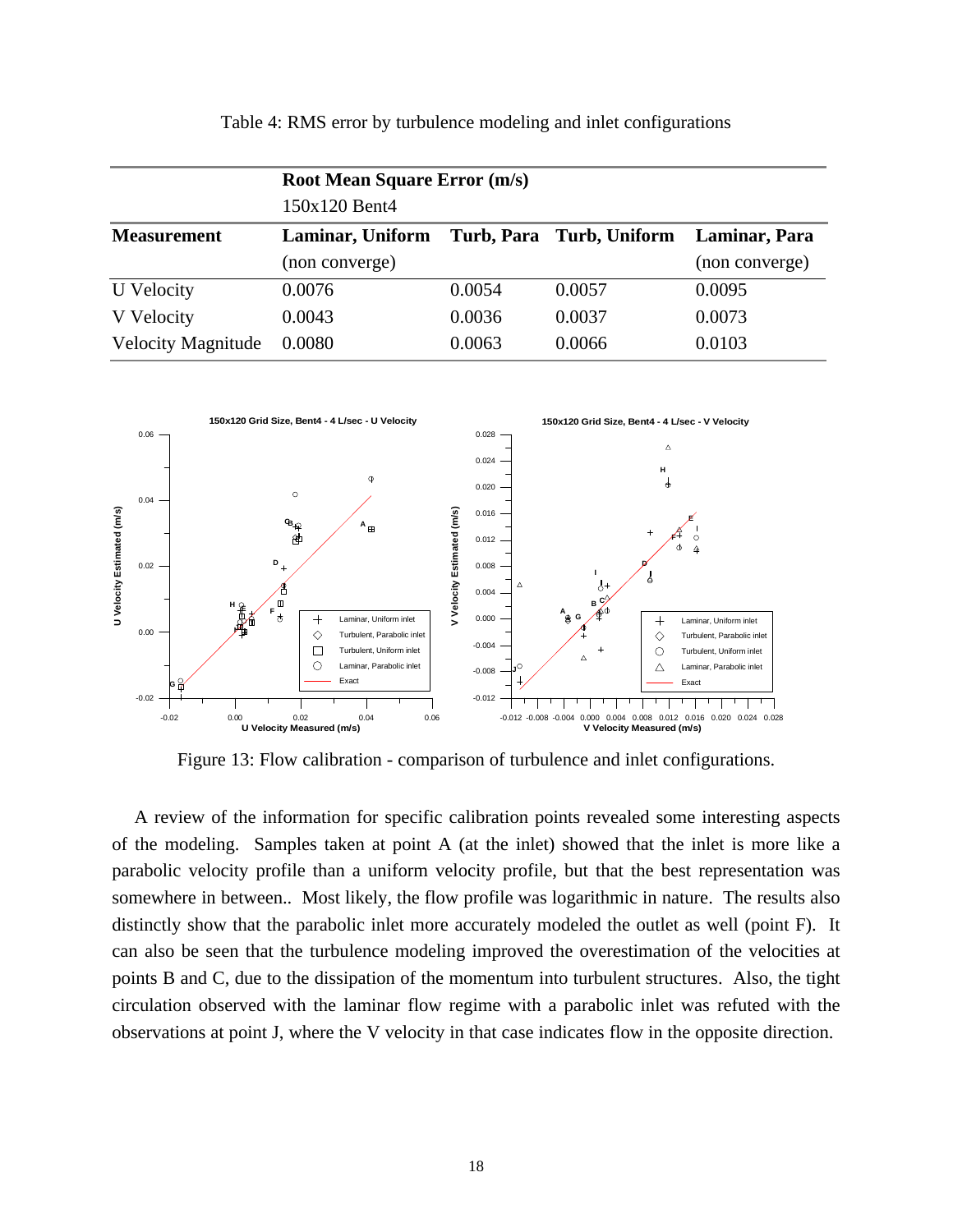|                           | <b>Root Mean Square Error (m/s)</b> |        |                          |                |  |  |  |
|---------------------------|-------------------------------------|--------|--------------------------|----------------|--|--|--|
|                           | 150x120 Bent4                       |        |                          |                |  |  |  |
| <b>Measurement</b>        | Laminar, Uniform                    |        | Turb, Para Turb, Uniform | Laminar, Para  |  |  |  |
|                           | (non converge)                      |        |                          | (non converge) |  |  |  |
| U Velocity                | 0.0076                              | 0.0054 | 0.0057                   | 0.0095         |  |  |  |
| V Velocity                | 0.0043                              | 0.0036 | 0.0037                   | 0.0073         |  |  |  |
| <b>Velocity Magnitude</b> | 0.0080                              | 0.0063 | 0.0066                   | 0.0103         |  |  |  |



Table 4: RMS error by turbulence modeling and inlet configurations

Figure 13: Flow calibration - comparison of turbulence and inlet configurations.

A review of the information for specific calibration points revealed some interesting aspects of the modeling. Samples taken at point A (at the inlet) showed that the inlet is more like a parabolic velocity profile than a uniform velocity profile, but that the best representation was somewhere in between.. Most likely, the flow profile was logarithmic in nature. The results also distinctly show that the parabolic inlet more accurately modeled the outlet as well (point F). It can also be seen that the turbulence modeling improved the overestimation of the velocities at points B and C, due to the dissipation of the momentum into turbulent structures. Also, the tight circulation observed with the laminar flow regime with a parabolic inlet was refuted with the observations at point J, where the V velocity in that case indicates flow in the opposite direction.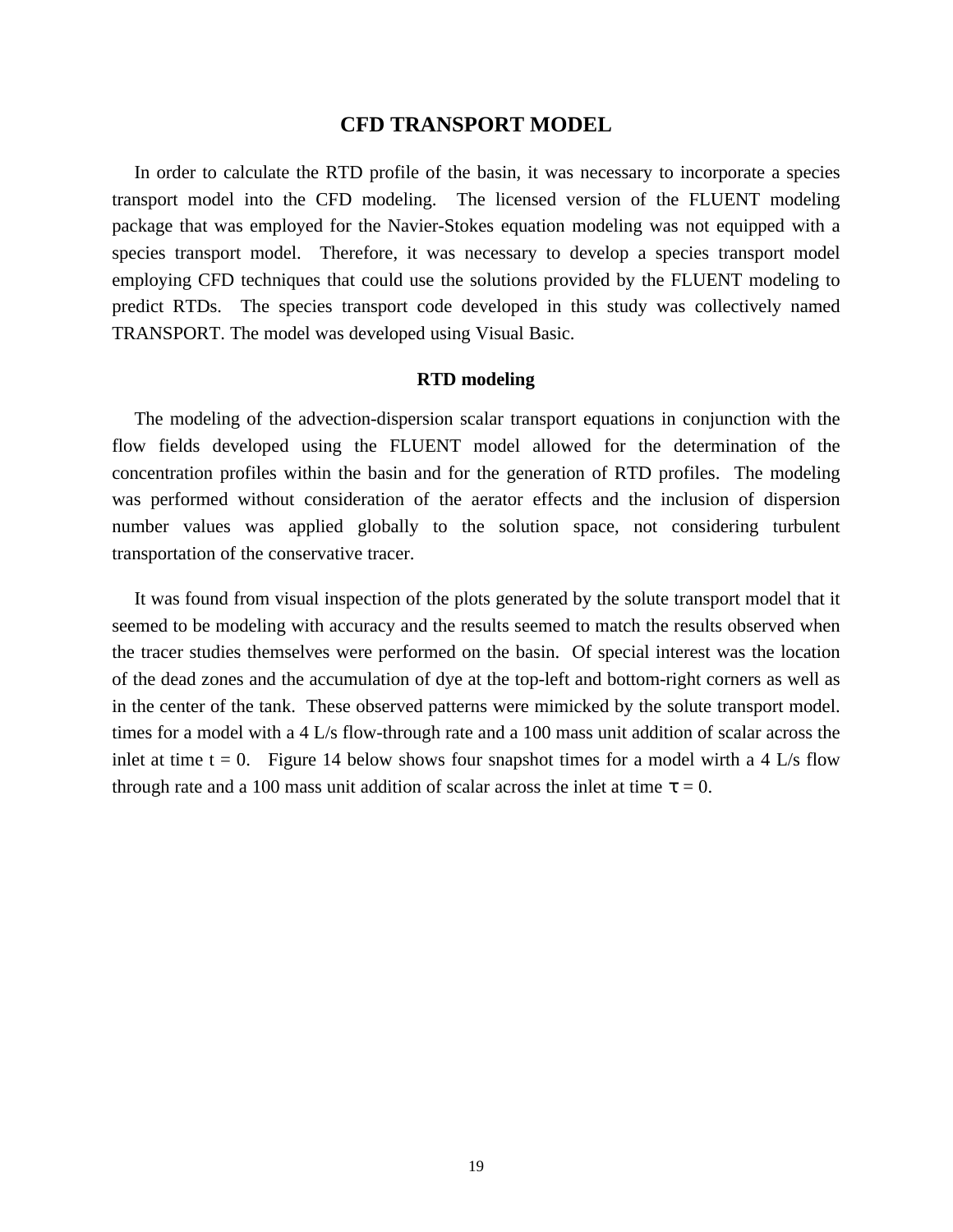## **CFD TRANSPORT MODEL**

In order to calculate the RTD profile of the basin, it was necessary to incorporate a species transport model into the CFD modeling. The licensed version of the FLUENT modeling package that was employed for the Navier-Stokes equation modeling was not equipped with a species transport model. Therefore, it was necessary to develop a species transport model employing CFD techniques that could use the solutions provided by the FLUENT modeling to predict RTDs. The species transport code developed in this study was collectively named TRANSPORT. The model was developed using Visual Basic.

## **RTD modeling**

The modeling of the advection-dispersion scalar transport equations in conjunction with the flow fields developed using the FLUENT model allowed for the determination of the concentration profiles within the basin and for the generation of RTD profiles. The modeling was performed without consideration of the aerator effects and the inclusion of dispersion number values was applied globally to the solution space, not considering turbulent transportation of the conservative tracer.

It was found from visual inspection of the plots generated by the solute transport model that it seemed to be modeling with accuracy and the results seemed to match the results observed when the tracer studies themselves were performed on the basin. Of special interest was the location of the dead zones and the accumulation of dye at the top-left and bottom-right corners as well as in the center of the tank. These observed patterns were mimicked by the solute transport model. times for a model with a 4 L/s flow-through rate and a 100 mass unit addition of scalar across the inlet at time  $t = 0$ . Figure 14 below shows four snapshot times for a model wirth a 4 L/s flow through rate and a 100 mass unit addition of scalar across the inlet at time  $t = 0$ .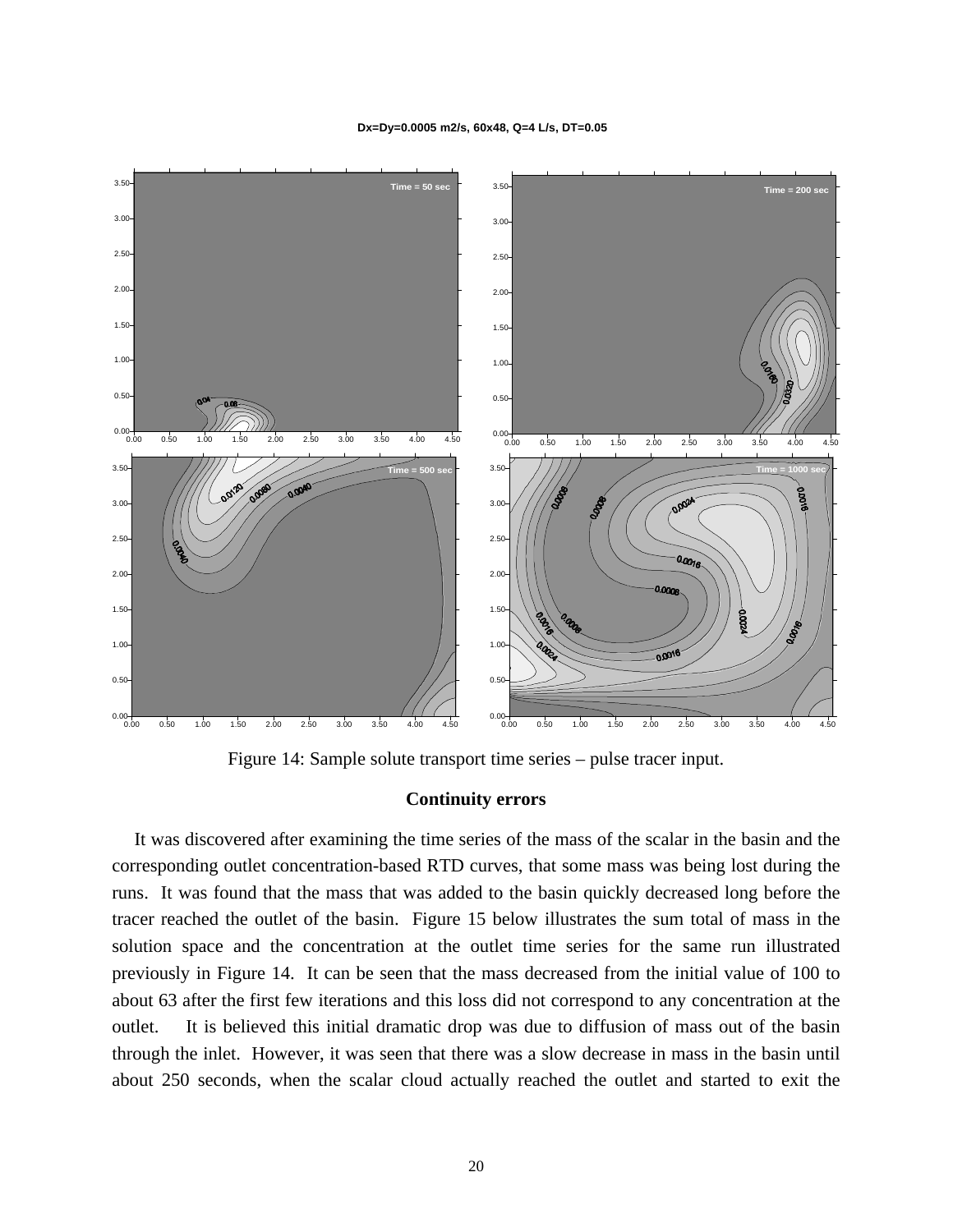**Dx=Dy=0.0005 m2/s, 60x48, Q=4 L/s, DT=0.05**



Figure 14: Sample solute transport time series – pulse tracer input.

#### **Continuity errors**

It was discovered after examining the time series of the mass of the scalar in the basin and the corresponding outlet concentration-based RTD curves, that some mass was being lost during the runs. It was found that the mass that was added to the basin quickly decreased long before the tracer reached the outlet of the basin. Figure 15 below illustrates the sum total of mass in the solution space and the concentration at the outlet time series for the same run illustrated previously in Figure 14. It can be seen that the mass decreased from the initial value of 100 to about 63 after the first few iterations and this loss did not correspond to any concentration at the outlet. It is believed this initial dramatic drop was due to diffusion of mass out of the basin through the inlet. However, it was seen that there was a slow decrease in mass in the basin until about 250 seconds, when the scalar cloud actually reached the outlet and started to exit the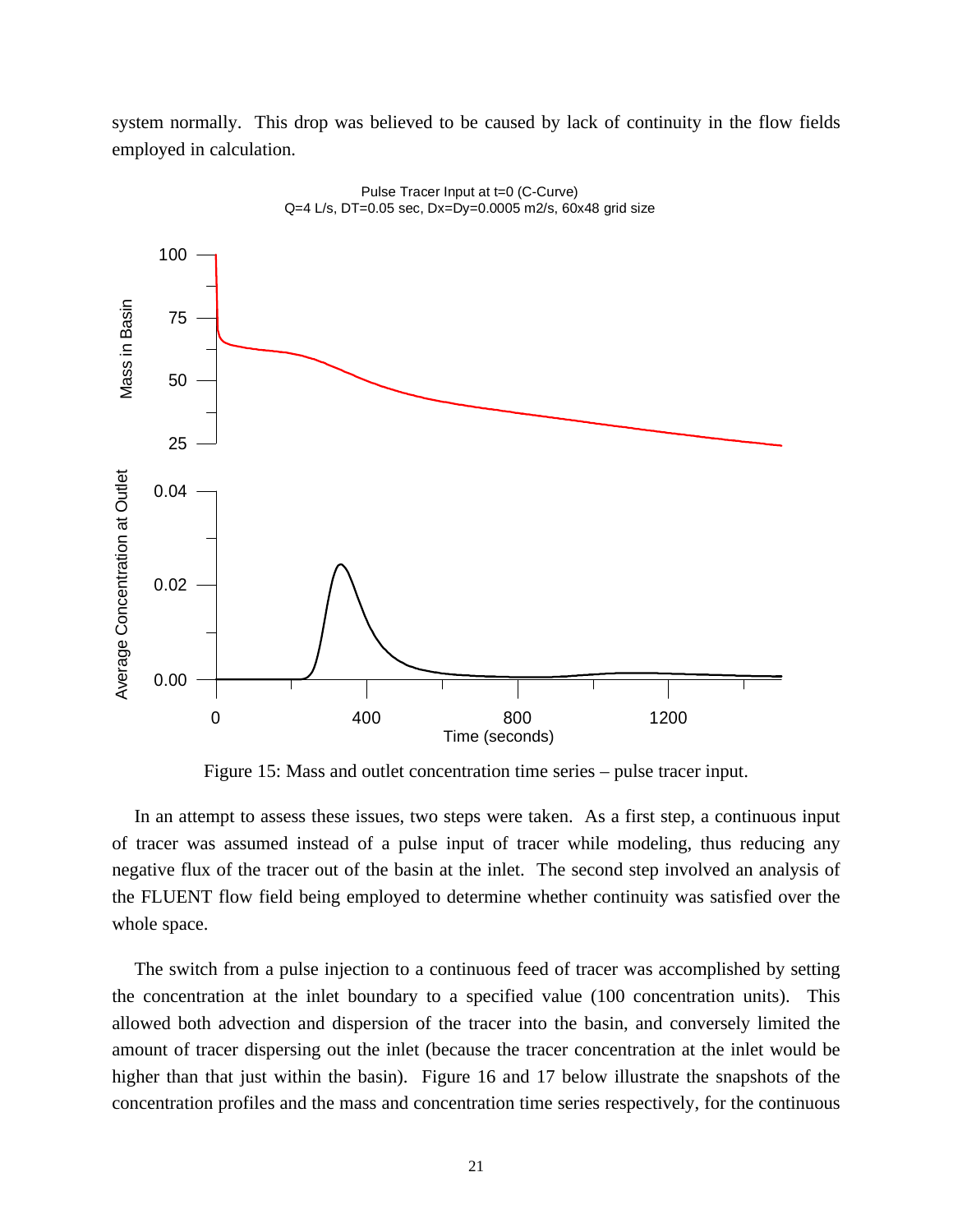system normally. This drop was believed to be caused by lack of continuity in the flow fields employed in calculation.



Pulse Tracer Input at t=0 (C-Curve)  $Q=4$  L/s, DT=0.05 sec, Dx=Dy=0.0005 m2/s, 60x48 grid size

Figure 15: Mass and outlet concentration time series – pulse tracer input.

In an attempt to assess these issues, two steps were taken. As a first step, a continuous input of tracer was assumed instead of a pulse input of tracer while modeling, thus reducing any negative flux of the tracer out of the basin at the inlet. The second step involved an analysis of the FLUENT flow field being employed to determine whether continuity was satisfied over the whole space.

The switch from a pulse injection to a continuous feed of tracer was accomplished by setting the concentration at the inlet boundary to a specified value (100 concentration units). This allowed both advection and dispersion of the tracer into the basin, and conversely limited the amount of tracer dispersing out the inlet (because the tracer concentration at the inlet would be higher than that just within the basin). Figure 16 and 17 below illustrate the snapshots of the concentration profiles and the mass and concentration time series respectively, for the continuous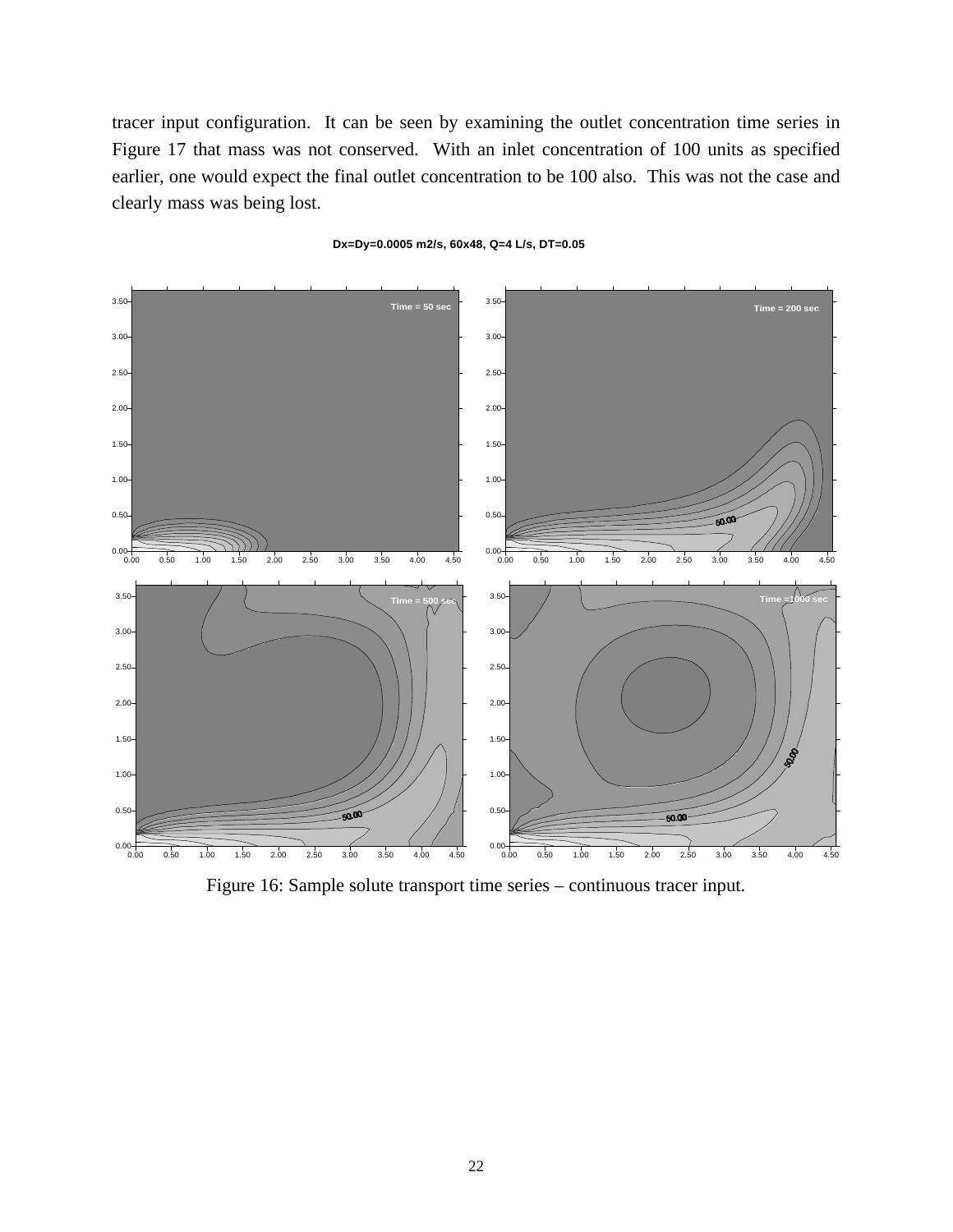tracer input configuration. It can be seen by examining the outlet concentration time series in Figure 17 that mass was not conserved. With an inlet concentration of 100 units as specified earlier, one would expect the final outlet concentration to be 100 also. This was not the case and clearly mass was being lost.



#### **Dx=Dy=0.0005 m2/s, 60x48, Q=4 L/s, DT=0.05**

Figure 16: Sample solute transport time series – continuous tracer input.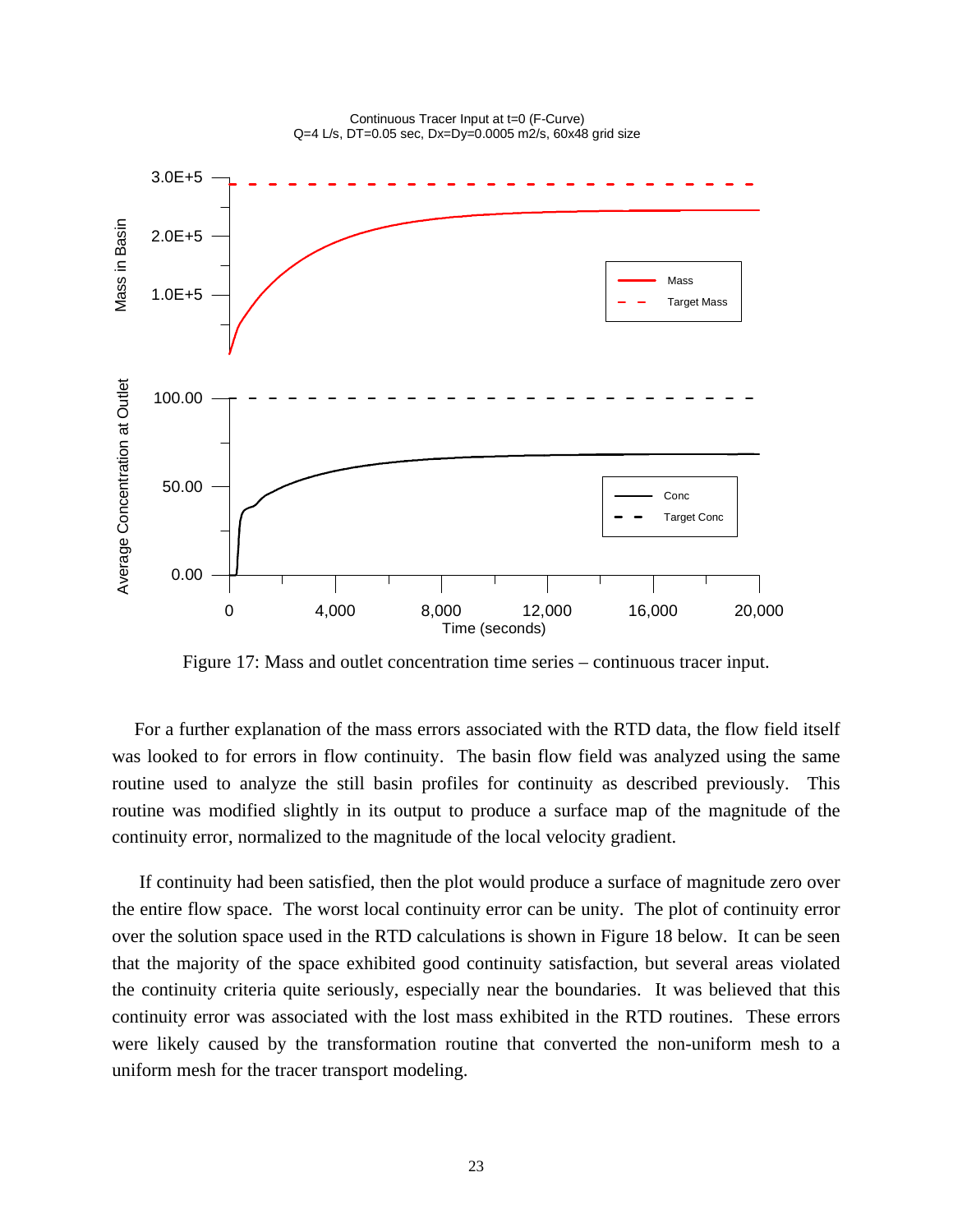

Continuous Tracer Input at t=0 (F-Curve)

Figure 17: Mass and outlet concentration time series – continuous tracer input.

For a further explanation of the mass errors associated with the RTD data, the flow field itself was looked to for errors in flow continuity. The basin flow field was analyzed using the same routine used to analyze the still basin profiles for continuity as described previously. This routine was modified slightly in its output to produce a surface map of the magnitude of the continuity error, normalized to the magnitude of the local velocity gradient.

 If continuity had been satisfied, then the plot would produce a surface of magnitude zero over the entire flow space. The worst local continuity error can be unity. The plot of continuity error over the solution space used in the RTD calculations is shown in Figure 18 below. It can be seen that the majority of the space exhibited good continuity satisfaction, but several areas violated the continuity criteria quite seriously, especially near the boundaries. It was believed that this continuity error was associated with the lost mass exhibited in the RTD routines. These errors were likely caused by the transformation routine that converted the non-uniform mesh to a uniform mesh for the tracer transport modeling.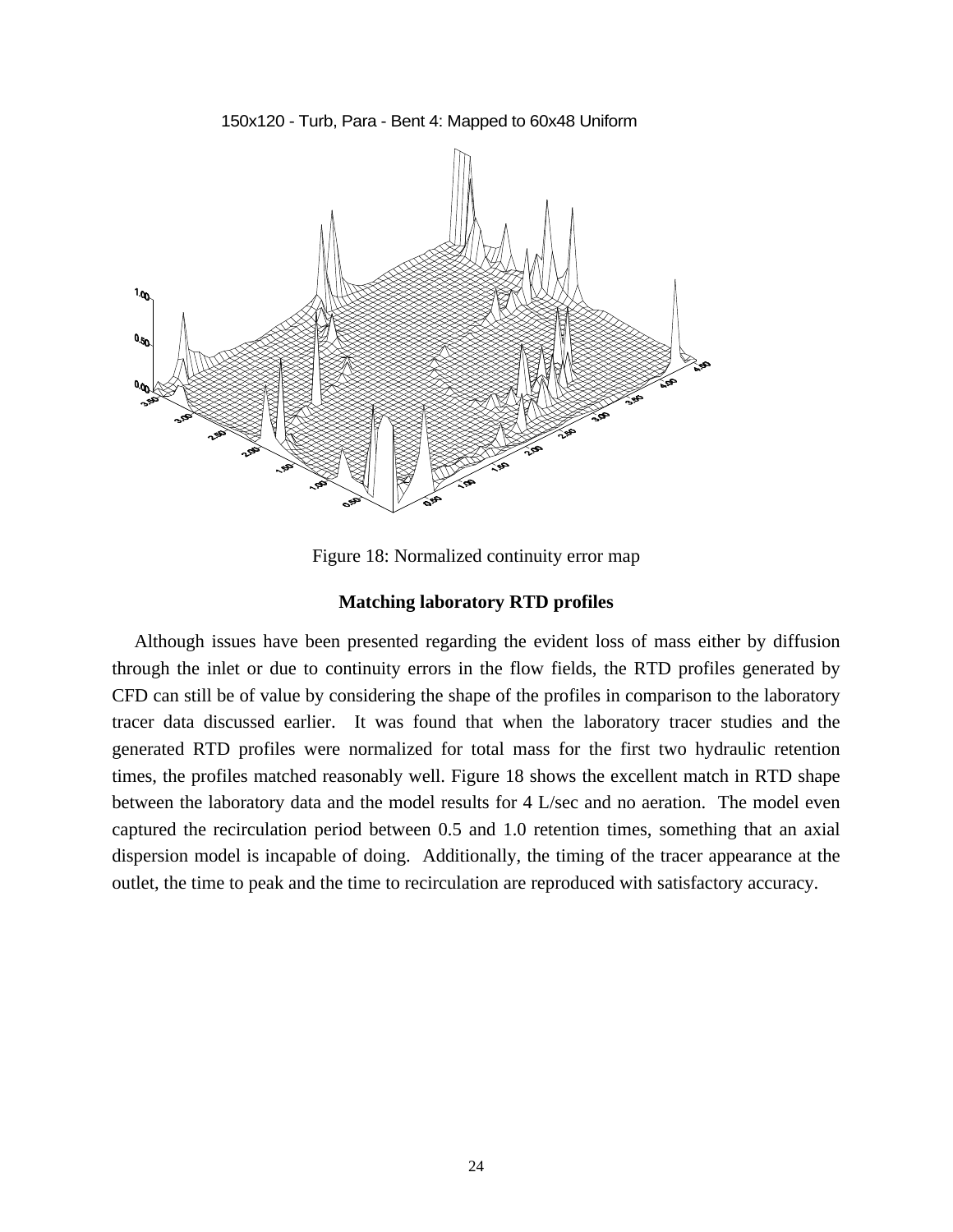150x120 - Turb, Para - Bent 4: Mapped to 60x48 Uniform



Figure 18: Normalized continuity error map

## **Matching laboratory RTD profiles**

Although issues have been presented regarding the evident loss of mass either by diffusion through the inlet or due to continuity errors in the flow fields, the RTD profiles generated by CFD can still be of value by considering the shape of the profiles in comparison to the laboratory tracer data discussed earlier. It was found that when the laboratory tracer studies and the generated RTD profiles were normalized for total mass for the first two hydraulic retention times, the profiles matched reasonably well. Figure 18 shows the excellent match in RTD shape between the laboratory data and the model results for 4 L/sec and no aeration. The model even captured the recirculation period between 0.5 and 1.0 retention times, something that an axial dispersion model is incapable of doing. Additionally, the timing of the tracer appearance at the outlet, the time to peak and the time to recirculation are reproduced with satisfactory accuracy.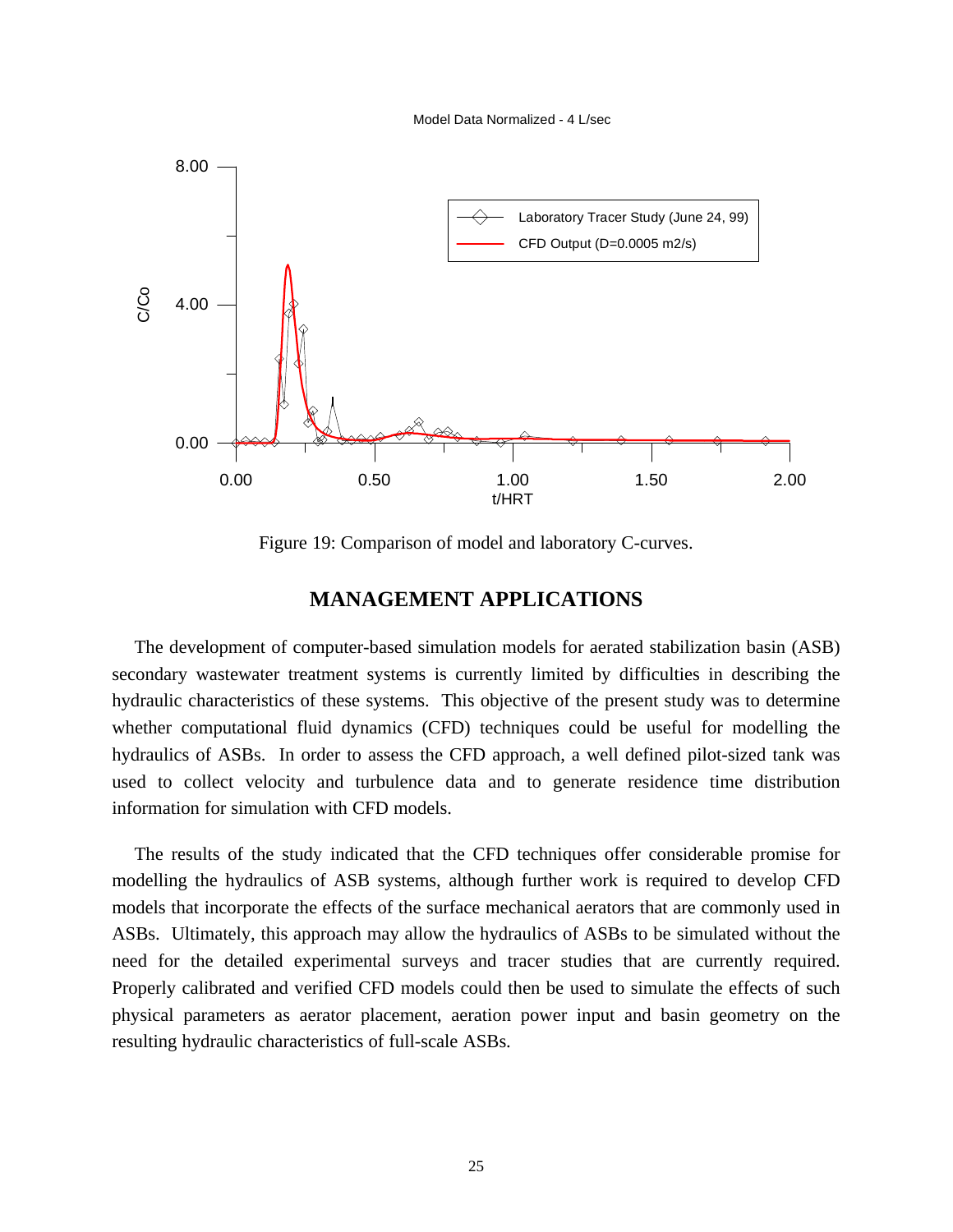Model Data Normalized - 4 L/sec



Figure 19: Comparison of model and laboratory C-curves.

# **MANAGEMENT APPLICATIONS**

The development of computer-based simulation models for aerated stabilization basin (ASB) secondary wastewater treatment systems is currently limited by difficulties in describing the hydraulic characteristics of these systems. This objective of the present study was to determine whether computational fluid dynamics (CFD) techniques could be useful for modelling the hydraulics of ASBs. In order to assess the CFD approach, a well defined pilot-sized tank was used to collect velocity and turbulence data and to generate residence time distribution information for simulation with CFD models.

The results of the study indicated that the CFD techniques offer considerable promise for modelling the hydraulics of ASB systems, although further work is required to develop CFD models that incorporate the effects of the surface mechanical aerators that are commonly used in ASBs. Ultimately, this approach may allow the hydraulics of ASBs to be simulated without the need for the detailed experimental surveys and tracer studies that are currently required. Properly calibrated and verified CFD models could then be used to simulate the effects of such physical parameters as aerator placement, aeration power input and basin geometry on the resulting hydraulic characteristics of full-scale ASBs.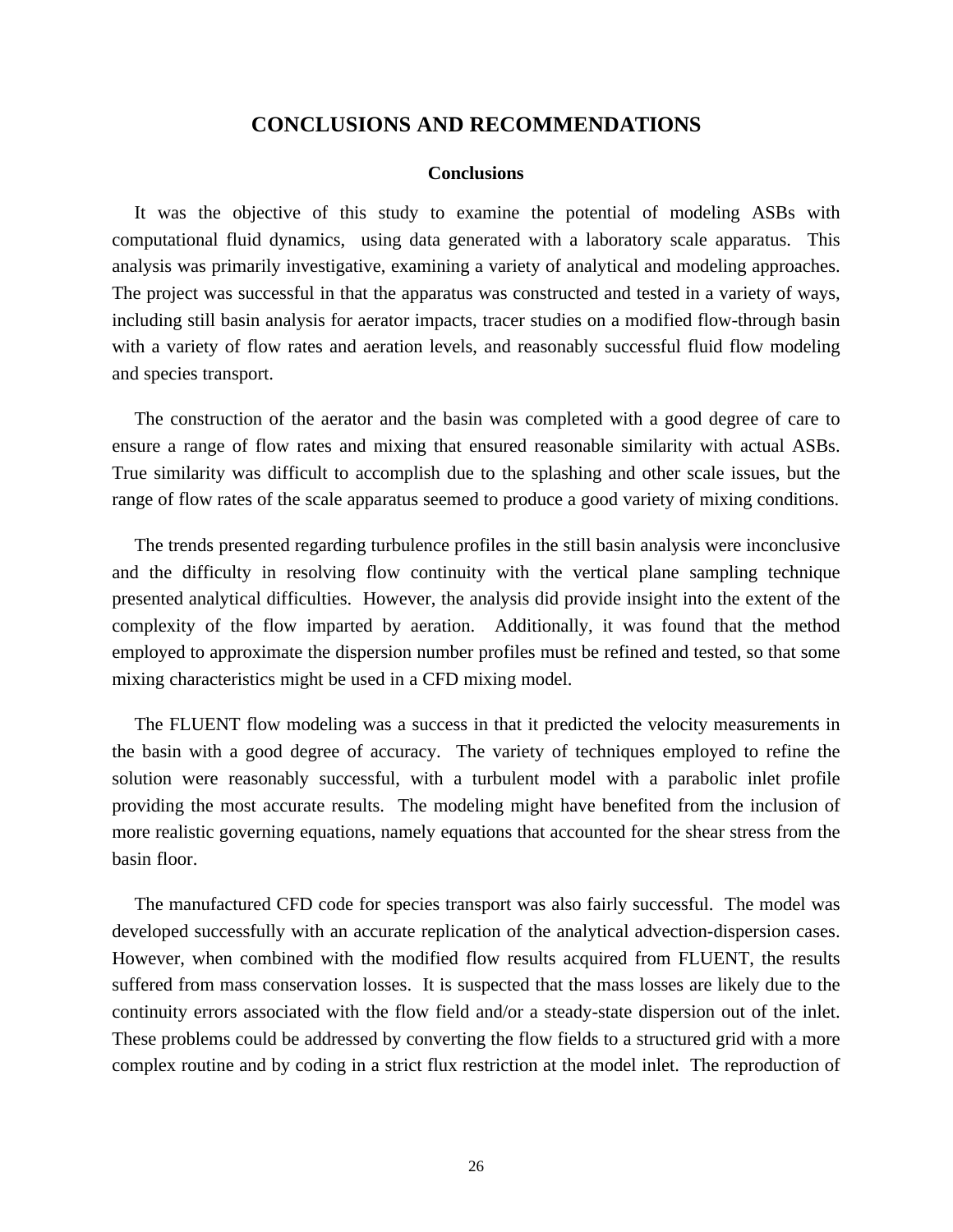## **CONCLUSIONS AND RECOMMENDATIONS**

#### **Conclusions**

It was the objective of this study to examine the potential of modeling ASBs with computational fluid dynamics, using data generated with a laboratory scale apparatus. This analysis was primarily investigative, examining a variety of analytical and modeling approaches. The project was successful in that the apparatus was constructed and tested in a variety of ways, including still basin analysis for aerator impacts, tracer studies on a modified flow-through basin with a variety of flow rates and aeration levels, and reasonably successful fluid flow modeling and species transport.

The construction of the aerator and the basin was completed with a good degree of care to ensure a range of flow rates and mixing that ensured reasonable similarity with actual ASBs. True similarity was difficult to accomplish due to the splashing and other scale issues, but the range of flow rates of the scale apparatus seemed to produce a good variety of mixing conditions.

The trends presented regarding turbulence profiles in the still basin analysis were inconclusive and the difficulty in resolving flow continuity with the vertical plane sampling technique presented analytical difficulties. However, the analysis did provide insight into the extent of the complexity of the flow imparted by aeration. Additionally, it was found that the method employed to approximate the dispersion number profiles must be refined and tested, so that some mixing characteristics might be used in a CFD mixing model.

The FLUENT flow modeling was a success in that it predicted the velocity measurements in the basin with a good degree of accuracy. The variety of techniques employed to refine the solution were reasonably successful, with a turbulent model with a parabolic inlet profile providing the most accurate results. The modeling might have benefited from the inclusion of more realistic governing equations, namely equations that accounted for the shear stress from the basin floor.

The manufactured CFD code for species transport was also fairly successful. The model was developed successfully with an accurate replication of the analytical advection-dispersion cases. However, when combined with the modified flow results acquired from FLUENT, the results suffered from mass conservation losses. It is suspected that the mass losses are likely due to the continuity errors associated with the flow field and/or a steady-state dispersion out of the inlet. These problems could be addressed by converting the flow fields to a structured grid with a more complex routine and by coding in a strict flux restriction at the model inlet. The reproduction of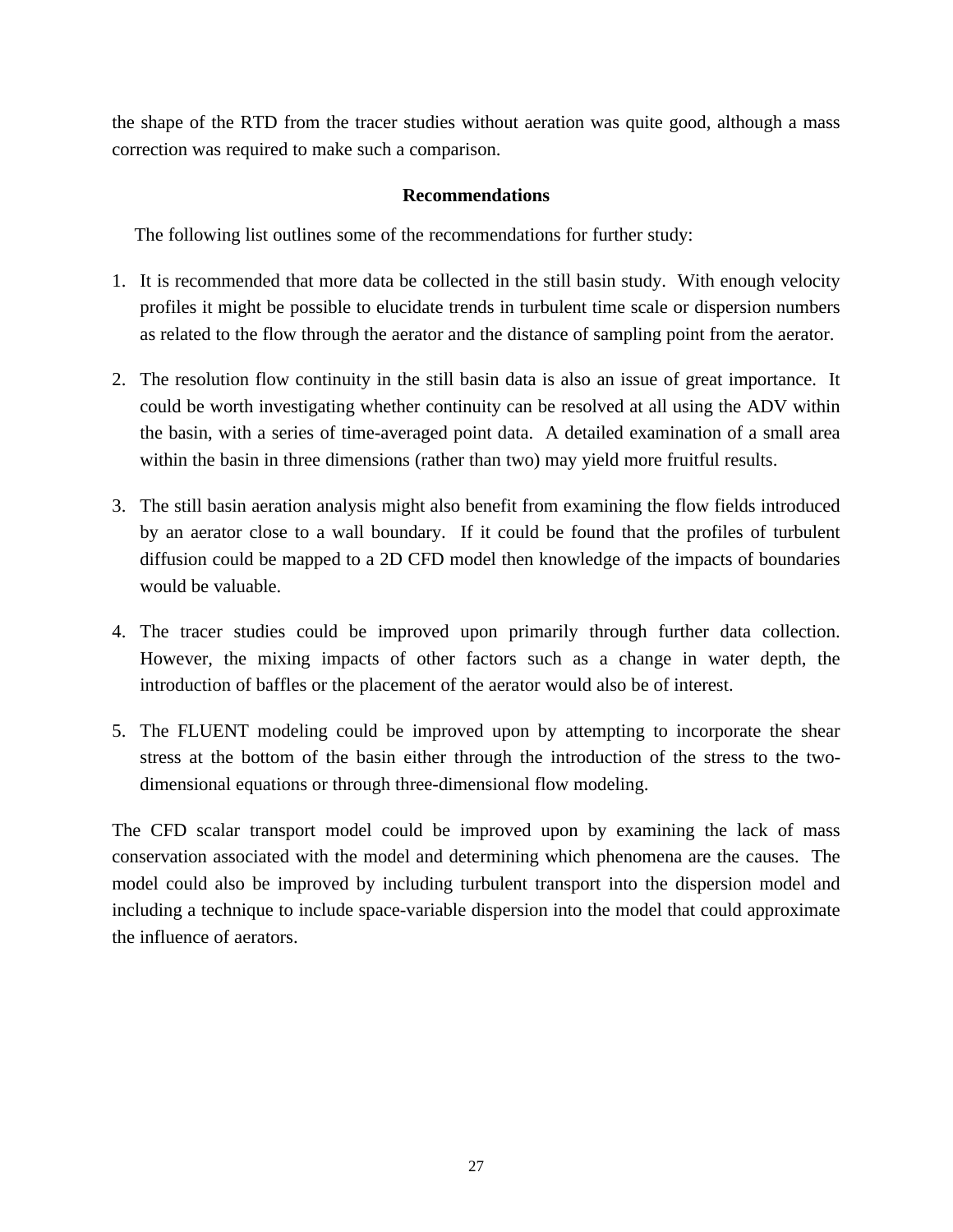the shape of the RTD from the tracer studies without aeration was quite good, although a mass correction was required to make such a comparison.

## **Recommendations**

The following list outlines some of the recommendations for further study:

- 1. It is recommended that more data be collected in the still basin study. With enough velocity profiles it might be possible to elucidate trends in turbulent time scale or dispersion numbers as related to the flow through the aerator and the distance of sampling point from the aerator.
- 2. The resolution flow continuity in the still basin data is also an issue of great importance. It could be worth investigating whether continuity can be resolved at all using the ADV within the basin, with a series of time-averaged point data. A detailed examination of a small area within the basin in three dimensions (rather than two) may yield more fruitful results.
- 3. The still basin aeration analysis might also benefit from examining the flow fields introduced by an aerator close to a wall boundary. If it could be found that the profiles of turbulent diffusion could be mapped to a 2D CFD model then knowledge of the impacts of boundaries would be valuable.
- 4. The tracer studies could be improved upon primarily through further data collection. However, the mixing impacts of other factors such as a change in water depth, the introduction of baffles or the placement of the aerator would also be of interest.
- 5. The FLUENT modeling could be improved upon by attempting to incorporate the shear stress at the bottom of the basin either through the introduction of the stress to the twodimensional equations or through three-dimensional flow modeling.

The CFD scalar transport model could be improved upon by examining the lack of mass conservation associated with the model and determining which phenomena are the causes. The model could also be improved by including turbulent transport into the dispersion model and including a technique to include space-variable dispersion into the model that could approximate the influence of aerators.